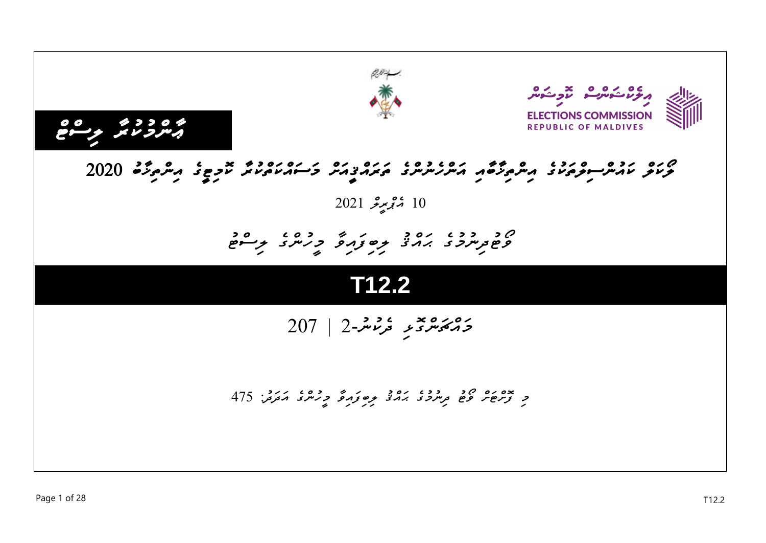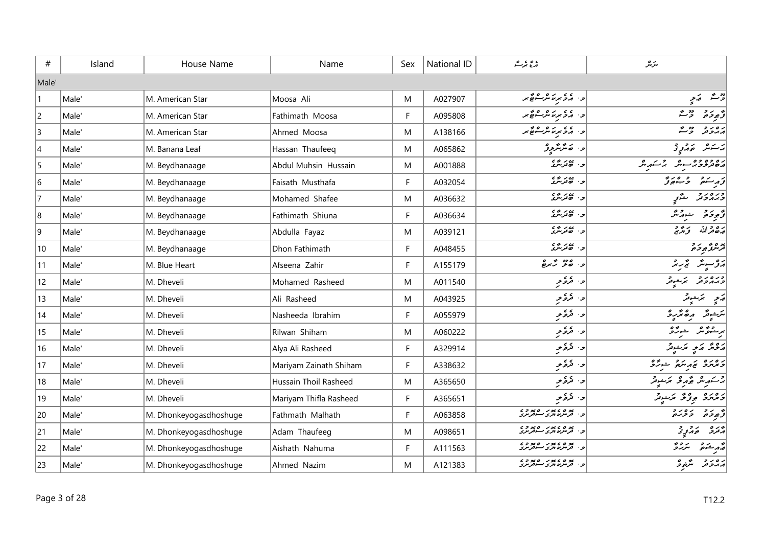| #              | Island | House Name             | Name                         | Sex | National ID | ، ه ، مرگ                                                    | ىئرىتر                                      |
|----------------|--------|------------------------|------------------------------|-----|-------------|--------------------------------------------------------------|---------------------------------------------|
| Male'          |        |                        |                              |     |             |                                                              |                                             |
|                | Male'  | M. American Star       | Moosa Ali                    | M   | A027907     | ە ، مەكرىرى <i>مىر شەھ</i> ىر                                | رحمش كالمي                                  |
| $\overline{2}$ | Male'  | M. American Star       | Fathimath Moosa              | F   | A095808     | د. م <sup>و</sup> بر <i>ما مر</i> ا عظیمه                    | ۇ ب <sub>و</sub> ر د                        |
| $\overline{3}$ | Male'  | M. American Star       | Ahmed Moosa                  | M   | A138166     | د به دې برنا مرت هڅ بر                                       | رەر دىر                                     |
| $\vert 4$      | Male'  | M. Banana Leaf         | Hassan Thaufeeq              | M   | A065862     | د ەنئەتئەيزۇ                                                 | پر سے مگر محرم پر پر                        |
| 5              | Male'  | M. Beydhanaage         | Abdul Muhsin Hussain         | M   | A001888     | ے روپے<br>و• ن <i>ھ</i> توسری                                | رە دە دەسىس بەسكىرىش                        |
| $\overline{6}$ | Male'  | M. Beydhanaage         | Faisath Musthafa             | F   | A032054     | ے روپے<br>و• ن <i>ھ</i> ترسری                                | تەرىخى ئەسىمى                               |
| 7              | Male'  | M. Beydhanaage         | Mohamed Shafee               | M   | A036632     | ے رہے ۔<br>و• ن <i>ھ</i> توسر                                | ورەر د ھگوپ                                 |
| $\overline{8}$ | Male'  | M. Beydhanaage         | Fathimath Shiuna             | F   | A036634     | ے دی ہے<br>و• نھ ترس پ                                       | ژ <sub>بو</sub> دۇ سەرتىر                   |
| 9              | Male'  | M. Beydhanaage         | Abdulla Fayaz                | M   | A039121     | ے روپے<br>و• ن <i>ے توسر</i> ی                               | برده ترالله وتريم                           |
| $ 10\rangle$   | Male'  | M. Beydhanaage         | Dhon Fathimath               | F   | A048455     | ے روپر<br>ح• ن <i>ے ترس</i> ر                                | بره و محرم<br>قرشر ت <sub>و</sub> حرم       |
| 11             | Male'  | M. Blue Heart          | Afseena Zahir                | F.  | A155179     | و . ه و . و . و ه                                            | ەر ئۇسىتىر ئ <sub>ى</sub> ئ <sub>ىرىم</sub> |
| 12             | Male'  | M. Dheveli             | Mohamed Rasheed              | M   | A011540     | -<br>ا <sup>ح و</sup> مرغ م                                  | ورەرو كەشپەر                                |
| 13             | Male'  | M. Dheveli             | Ali Rasheed                  | M   | A043925     | و· قرة وِ                                                    | ر<br>موسي مرسومر                            |
| 14             | Male'  | M. Dheveli             | Nasheeda Ibrahim             | F   | A055979     | و· قرة و                                                     | <i>سَ شوندٌ و هغرب</i> وٌ                   |
| 15             | Male'  | M. Dheveli             | Rilwan Shiham                | M   | A060222     | و· تروُّمِ                                                   | ىرىشۇش ئىرگە                                |
| 16             | Male'  | M. Dheveli             | Alya Ali Rasheed             | F.  | A329914     | اح بمحرمو                                                    | أروش أرمح الكرشوش                           |
| 17             | Male'  | M. Dheveli             | Mariyam Zainath Shiham       | F.  | A338632     | اح بمحتجم و                                                  | ومهرو يهرسه سر                              |
| 18             | Male'  | M. Dheveli             | <b>Hussain Thoil Rasheed</b> | M   | A365650     | اح کمی خو                                                    | برسكريكر ومجروفي الكرهومر                   |
| 19             | Male'  | M. Dheveli             | Mariyam Thifla Rasheed       | F.  | A365651     | و· ترة و                                                     | رەرە بورگە ئرىشوتر                          |
| 20             | Male'  | M. Dhonkeyogasdhoshuge | Fathmath Malhath             | F.  | A063858     | د سال به ده ده ده بر د د و د ا<br>د ۱۰ تورمزد افزار سوتورمزی | و ده ده ده.                                 |
| 21             | Male'  | M. Dhonkeyogasdhoshuge | Adam Thaufeeg                | M   | A098651     | ہ ہو ہ پاہاور ہے و پا<br>وی افر سربر ہو <sub>کا</sub> سوفر س | أمرو رودية                                  |
| 22             | Male'  | M. Dhonkeyogasdhoshuge | Aishath Nahuma               | F.  | A111563     | ه ده د در او ده د د د<br>د ۱ ترس د در سوتربرد                | وكرمشكم المرواة                             |
| 23             | Male'  | M. Dhonkeyogasdhoshuge | Ahmed Nazim                  | M   | A121383     | ه ده د در او ده د د د<br>د ۱ ترس د در سوتربرد                | رەر ئە ئەرە                                 |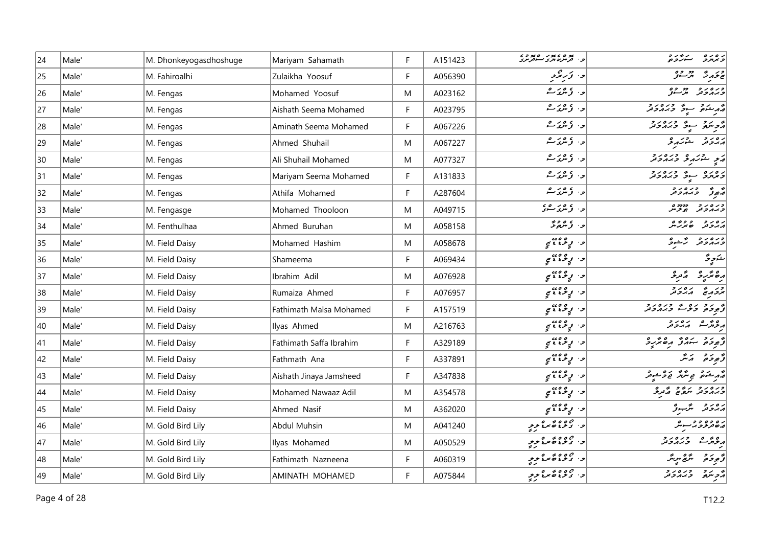| 24           | Male' | M. Dhonkeyogasdhoshuge | Mariyam Sahamath        | F         | A151423 | بر ده د در ده د د د د<br>د ۱ ترس در در سوتربرد  | رىر ئەر ج<br>  پر ه پر ه                 |
|--------------|-------|------------------------|-------------------------|-----------|---------|-------------------------------------------------|------------------------------------------|
| 25           | Male' | M. Fahiroalhi          | Zulaikha Yoosuf         | F         | A056390 | و· تۇرىتى بە                                    | در وه<br>در سور<br>تح مَحَرَ رَّ         |
| 26           | Male' | M. Fengas              | Mohamed Yoosuf          | M         | A023162 | ى ئۇيىز مەر ھ                                   | כנסני מיפר<br>כנמכת מיית                 |
| 27           | Male' | M. Fengas              | Aishath Seema Mohamed   | F         | A023795 | چ ، ئۇيترىم كە                                  | مەر شىم سوڭ ئەر ئەر                      |
| 28           | Male' | M. Fengas              | Aminath Seema Mohamed   | F         | A067226 | د . ۇېترى ھ                                     | أثر شروع المستريح وبرورو                 |
| 29           | Male' | M. Fengas              | Ahmed Shuhail           | M         | A067227 | ى ئۇيىز مەر                                     | أرور ويردي                               |
| 30           | Male' | M. Fengas              | Ali Shuhail Mohamed     | M         | A077327 | د . ۇېئرى ھ                                     | أكمي المحتركم والمحادر والمحمد           |
| 31           | Male' | M. Fengas              | Mariyam Seema Mohamed   | F         | A131833 | د . ۇېترى ھ                                     | נים בי פנים ניביר.<br>פינות כ"ק פניות כי |
| 32           | Male' | M. Fengas              | Athifa Mohamed          | F         | A287604 | چ ، بۇ ئەيمە ئەگ                                | أشهو وره دو                              |
| 33           | Male' | M. Fengasge            | Mohamed Thooloon        | M         | A049715 | ى ئۇنىر ئەمىي<br>مەنبۇ ئىسىر                    | כנסנכ ממס<br>כנהבת הכת                   |
| 34           | Male' | M. Fenthulhaa          | Ahmed Buruhan           | M         | A058158 | ړ و د وه<br>د ۱ توسمبرنگ                        | ره رو ووړه.                              |
| 35           | Male' | M. Field Daisy         | Mohamed Hashim          | M         | A058678 | د . د د د د کام                                 | ورەر و گەندۇ                             |
| 36           | Male' | M. Field Daisy         | Shameema                | F         | A069434 | وسوچ وي پا                                      | شەرچ                                     |
| 37           | Male' | M. Field Daisy         | Ibrahim Adil            | ${\sf M}$ | A076928 | وسوع وميمي                                      | הפי <i>ג'י</i> ב הבקב                    |
| 38           | Male' | M. Field Daisy         | Rumaiza Ahmed           | F         | A076957 | د . د د د د کام                                 | برورځ مدون                               |
| 39           | Male' | M. Field Daisy         | Fathimath Malsa Mohamed | F         | A157519 | د . د د د د کام                                 | ه د د ده په دره د د<br>ژبوده د د ک       |
| 40           | Male' | M. Field Daisy         | Ilyas Ahmed             | M         | A216763 | <sub>و</sub> . <sub>تو</sub> و؟؟ <sub>م</sub> م | مروش مدور                                |
| 41           | Male' | M. Field Daisy         | Fathimath Saffa Ibrahim | F         | A329189 | <sub>و</sub> . <sub>تو</sub> و؟؟ <sub>م</sub> م | ومجدد ومنتقل المتعر                      |
| 42           | Male' | M. Field Daisy         | Fathmath Ana            | F         | A337891 | د . د د د د کام                                 | قهوخو منثر                               |
| $ 43\rangle$ | Male' | M. Field Daisy         | Aishath Jinaya Jamsheed | F         | A347838 | د . د د د د کالم                                | مەر ئىكى ئەر ئەر ئىر                     |
| 44           | Male' | M. Field Daisy         | Mohamed Nawaaz Adil     | M         | A354578 | وسوعي وه عيم سي                                 | כנסנכ נפכ הפ                             |
| 45           | Male' | M. Field Daisy         | Ahmed Nasif             | M         | A362020 | د . د د د د کام                                 | رەرد شەرە                                |
| 46           | Male' | M. Gold Bird Lily      | <b>Abdul Muhsin</b>     | M         | A041240 | ر موه ه څو د د د                                | ره وه و و<br>پرېفر د بر سرس              |
| 47           | Male' | M. Gold Bird Lily      | Ilyas Mohamed           | M         | A050529 | - 22,2000 وو                                    | ە ئەرەردە<br>مەركەب جەمدى                |
| 48           | Male' | M. Gold Bird Lily      | Fathimath Nazneena      | F         | A060319 | - 2000 كەردى<br>دې دىگە ئەھەردى                 | قەم ئەھم ئىستى ئېرىتكە                   |
| 49           | Male' | M. Gold Bird Lily      | AMINATH MOHAMED         | F         | A075844 | د . د د ده ه پرو د د د                          | أثر سرد وره رد                           |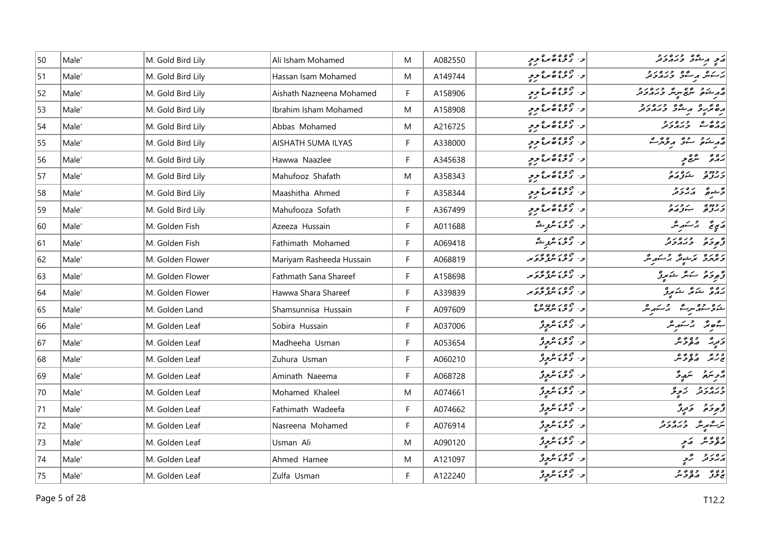| 50 | Male' | M. Gold Bird Lily | Ali Isham Mohamed        | M | A082550 | ه ده وه ده ورو<br>د . د د د ه مرد رو                        | كمو مشوه وره رو                                      |
|----|-------|-------------------|--------------------------|---|---------|-------------------------------------------------------------|------------------------------------------------------|
| 51 | Male' | M. Gold Bird Lily | Hassan Isam Mohamed      | M | A149744 | - 2000ء<br>حيد محمد محمد محمد محمد المحمد                   | ر کره مرگور وره دو                                   |
| 52 | Male' | M. Gold Bird Lily | Aishath Nazneena Mohamed | F | A158906 | د . د د وه څورو په د د                                      | ۇرمۇق ئۇچ ئېرىش دېرەرد                               |
| 53 | Male' | M. Gold Bird Lily | Ibrahim Isham Mohamed    | M | A158908 | - <sup>200</sup> 0ء کومو                                    | مەنگرىۋ مەشكى دىرەرد                                 |
| 54 | Male' | M. Gold Bird Lily | Abbas Mohamed            | M | A216725 | ر موه ه کارو<br>د کولاهگرو کو                               | رەپ دىرەرد                                           |
| 55 | Male' | M. Gold Bird Lily | AISHATH SUMA ILYAS       | F | A338000 | - 2000 كاروبو<br>د . د د د ه كاروبو                         | ە ئەيدىكى ئىچە ئەرەپ ئى                              |
| 56 | Male' | M. Gold Bird Lily | Hawwa Naazlee            | F | A345638 | - 222 كەردى<br>دې دىگرى كەندىكى مەردى                       | پره په سرچ مح                                        |
| 57 | Male' | M. Gold Bird Lily | Mahufooz Shafath         | M | A358343 | - 22,000 مرد د د                                            | ر د دد د کرد د<br>تربرنو شور شو                      |
| 58 | Male' | M. Gold Bird Lily | Maashitha Ahmed          | F | A358344 | د . د د ده ه د د د د د                                      | ۇ شەمۇ<br>بر ٥ پر و<br>م <i>ر</i> بر <del>و</del> تر |
| 59 | Male' | M. Gold Bird Lily | Mahufooza Sofath         | F | A367499 | - چوه څوندوبو                                               | ر ودور در رور د<br>تربرونو سوومبرو                   |
| 60 | Male' | M. Golden Fish    | Azeeza Hussain           | F | A011688 | وسيحوذ معربة                                                | أەسپى ئىم ئەسكىرىش                                   |
| 61 | Male' | M. Golden Fish    | Fathimath Mohamed        | F | A069418 | د . گ <sup>9</sup> گر گروگ                                  | و ده دره در                                          |
| 62 | Male' | M. Golden Flower  | Mariyam Rasheeda Hussain | F | A068819 | ە دە دە دە دىر<br>د ·   ى مىرى مىرىگەنىز                    | و ورو نرجونگر بر کرد مگر                             |
| 63 | Male' | M. Golden Flower  | Fathmath Sana Shareef    | F | A158698 | ە ئەمەرەھ <i>ەر</i><br>چەسىمى ئەسىمە ئىمى ئىمە              | ۇۋۇق سەش ھەيرۇ                                       |
| 64 | Male' | M. Golden Flower  | Hawwa Shara Shareef      | F | A339839 | ە ەرەە دەر.<br>د كەن ئىملانمى تەر                           | رەپ خەش خىرى                                         |
| 65 | Male' | M. Golden Land    | Shamsunnisa Hussain      | F | A097609 | ح ور ويره وه<br><del>و</del> · تح <b>رج سرچ</b> سم <b>ه</b> | شوق شهر سريد بر جنس شهر شر                           |
| 66 | Male' | M. Golden Leaf    | Sobira Hussain           | F | A037006 | د . د وړ ه پروژ                                             | بەھ ئەسىر بىر                                        |
| 67 | Male' | M. Golden Leaf    | Madheeha Usman           | F | A053654 | - <sup>201</sup> 3ع مربو و                                  | دَ پِرِ بَيْ مِنْ وَصْحَبْ بِهِ                      |
| 68 | Male' | M. Golden Leaf    | Zuhura Usman             | F | A060210 | ە بە ئەندە بەر                                              | وويد وه ده م                                         |
| 69 | Male' | M. Golden Leaf    | Aminath Naeema           | F | A068728 | د . د څو نا تروو                                            | أأوسكم سكدة                                          |
| 70 | Male' | M. Golden Leaf    | Mohamed Khaleel          | M | A074661 | د . د وي مر <sub>م</sub> وژ                                 | دره در در در در                                      |
| 71 | Male' | M. Golden Leaf    | Fathimath Wadeefa        | F | A074662 | د . د د د ورو د                                             | وَجِوَدَةٌ وَسِرْتُمْ                                |
| 72 | Male' | M. Golden Leaf    | Nasreena Mohamed         | F | A076914 | د بر دور و د و د                                            | ىكرىشمېرىگە جەم جەم ج                                |
| 73 | Male' | M. Golden Leaf    | Usman Ali                | M | A090120 | د . د د د وړو د                                             | ەم ئەھرىمى ئە                                        |
| 74 | Male' | M. Golden Leaf    | Ahmed Hamee              | M | A121097 | د . د د د پروژ                                              | بر ہ مر ح<br>مرکز فر<br>شرحيه                        |
| 75 | Male' | M. Golden Leaf    | Zulfa Usman              | F | A122240 | د . د د ډېرو د                                              | دە دەپر<br>ئ <i>ەخۇ</i> مەۋرىتر                      |
|    |       |                   |                          |   |         |                                                             |                                                      |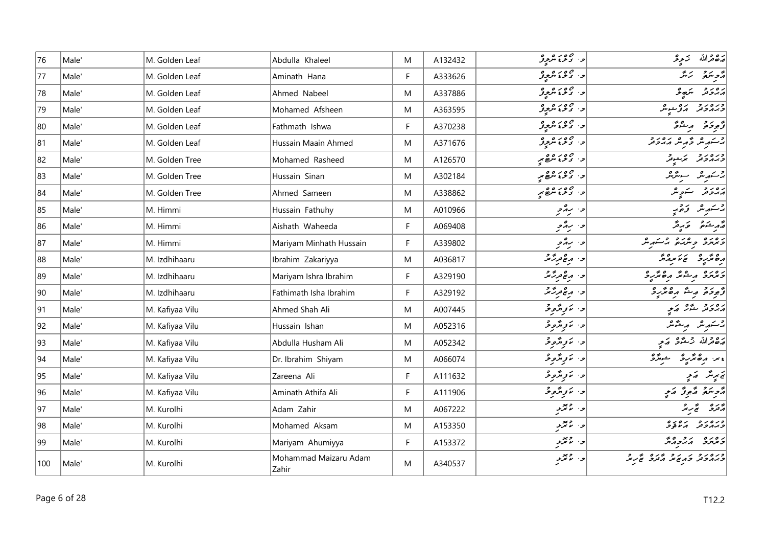| 76  | Male' | M. Golden Leaf  | Abdulla Khaleel                | M           | A132432 | ه د هموړه پرېږو                                 | پر <b>ص</b> حر اللّه<br>تزجرعى |
|-----|-------|-----------------|--------------------------------|-------------|---------|-------------------------------------------------|--------------------------------|
| 77  | Male' | M. Golden Leaf  | Aminath Hana                   | F           | A333626 | د قوم موږ و                                     | أثرجه تنزه                     |
| 78  | Male' | M. Golden Leaf  | Ahmed Nabeel                   | M           | A337886 | والمحوفي مربولو                                 | رەرو سەر                       |
| 79  | Male' | M. Golden Leaf  | Mohamed Afsheen                | M           | A363595 | - موړ عربو په کليکو لري.<br>حسنه عربو لري.      | ورەرو روپ                      |
| 80  | Male' | M. Golden Leaf  | Fathmath Ishwa                 | F           | A370238 | - <sup>2</sup> 22ع مروٍ و                       | قرجوحر المراعيم                |
| 81  | Male' | M. Golden Leaf  | Hussain Maain Ahmed            | M           | A371676 | د . د د ډېرو و                                  | ير سکه شهر شهر می در در د      |
| 82  | Male' | M. Golden Tree  | Mohamed Rasheed                | M           | A126570 | د ود وه وه پر                                   | ورەر و كرشونر                  |
| 83  | Male' | M. Golden Tree  | Hussain Sinan                  | M           | A302184 | د مع د ده ده مرد م                              | برسكر بكر سوسرهر               |
| 84  | Male' | M. Golden Tree  | Ahmed Sameen                   | M           | A338862 | - جوړه ده و                                     | أرەر ئەر ئىستى                 |
| 85  | Male' | M. Himmi        | Hussain Fathuhy                | M           | A010966 | و· رو و                                         | يز سەر شەر ئەمەر               |
| 86  | Male' | M. Himmi        | Aishath Waheeda                | $\mathsf F$ | A069408 | و· رو و                                         | ومدينة ورقر                    |
| 87  | Male' | M. Himmi        | Mariyam Minhath Hussain        | F           | A339802 | و. رو <sub>و</sub>                              | גם גם פינה ביאגים              |
| 88  | Male' | M. Izdhihaaru   | Ibrahim Zakariyya              | M           | A036817 | د· م <sub>و</sub> جي مرشيمه                     | ת ביציב התורה                  |
| 89  | Male' | M. Izdhihaaru   | Mariyam Ishra Ibrahim          | F           | A329190 | <sub>ح</sub> . م <sub>و</sub> ج مر شمر          | כמתכ תשית תפתיכ                |
| 90  | Male' | M. Izdhihaaru   | Fathimath Isha Ibrahim         | F           | A329192 | د ۰ مرچ مر <i>ر</i> محمد                        | ژوده مث مقترد                  |
| 91  | Male' | M. Kafiyaa Vilu | Ahmed Shah Ali                 | M           | A007445 | ه <i>، مأو پژو</i> ځو                           | ره رو ده و کام                 |
| 92  | Male' | M. Kafiyaa Vilu | Hussain Ishan                  | M           | A052316 | <sub>و</sub> . ئۇ ب <sup>ە</sup> ر بۇ بۇ        | بركتهرش بركشش                  |
| 93  | Male' | M. Kafiyaa Vilu | Abdulla Husham Ali             | M           | A052342 | ه <i>، مأو پژو</i> ځو                           | رە ئەللە ئەشكى كەم             |
| 94  | Male' | M. Kafiyaa Vilu | Dr. Ibrahim Shiyam             | M           | A066074 | و· ئۈرگەرچە                                     | ، پر م <i>وشرد</i> شورگ        |
| 95  | Male' | M. Kafiyaa Vilu | Zareena Ali                    | E           | A111632 | <mark>و، ئارېژ<sub>ىر</sub> ب</mark> خ          | ئے پر بٹر کے کیے               |
| 96  | Male' | M. Kafiyaa Vilu | Aminath Athifa Ali             | F           | A111906 | <mark>و<sub>: مَأْتِرِ مُزْعِرِ خُ</sub></mark> | أزويتم أأوثر أير               |
| 97  | Male' | M. Kurolhi      | Adam Zahir                     | M           | A067222 | -<br> و· لانتم <sup>ى</sup> ر                   | أأروح بحمر جمر                 |
| 98  | Male' | M. Kurolhi      | Mohamed Aksam                  | M           | A153350 | —<br> و· لانتملو                                | ورەرو رەرە<br>جەمەدىر مەش      |
| 99  | Male' | M. Kurolhi      | Mariyam Ahumiyya               | F           | A153372 | <br> حس <sup>ر ح</sup> معمو                     | במתכ גלפרית                    |
| 100 | Male' | M. Kurolhi      | Mohammad Maizaru Adam<br>Zahir | M           | A340537 | -<br> ح• سمعرمه                                 | כנסני כתיצת המבי התי           |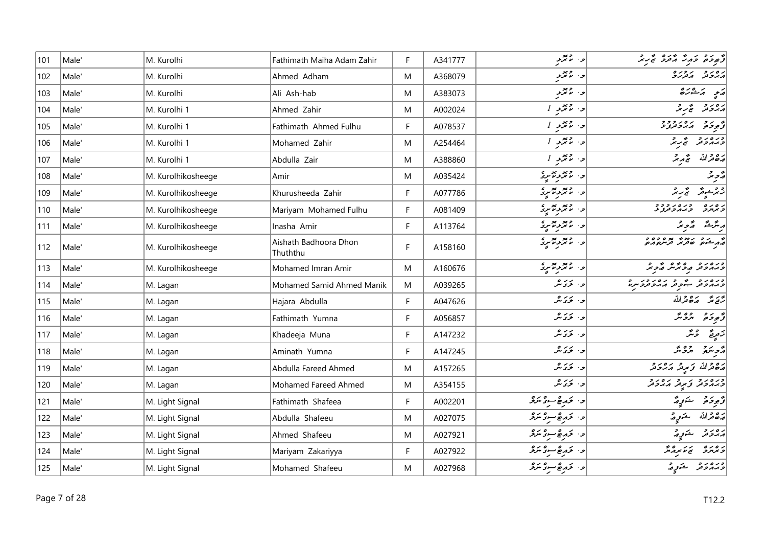| 101 | Male' | M. Kurolhi         | Fathimath Maiha Adam Zahir        | F  | A341777 | وسيمخرى                                  | ومودة ذربه مندو لجربر                                            |
|-----|-------|--------------------|-----------------------------------|----|---------|------------------------------------------|------------------------------------------------------------------|
| 102 | Male' | M. Kurolhi         | Ahmed Adham                       | M  | A368079 | وسيمخرى                                  | ر ور در دره                                                      |
| 103 | Male' | M. Kurolhi         | Ali Ash-hab                       | M  | A383073 | —<br> حسیقیمی                            | أمداح أمشارها                                                    |
| 104 | Male' | M. Kurolhi 1       | Ahmed Zahir                       | M  | A002024 | $1, 2, 2, 7$ اح                          | أرەر ئەرىر                                                       |
| 105 | Male' | M. Kurolhi 1       | Fathimath Ahmed Fulhu             | F. | A078537 | $1, 2, 7, 7$ و. ما تېزىر                 | أقرجوحوا أمروح والمحمد                                           |
| 106 | Male' | M. Kurolhi 1       | Mohamed Zahir                     | M  | A254464 | د ، مذمخرم [                             | ورەرو پرىر                                                       |
| 107 | Male' | M. Kurolhi 1       | Abdulla Zair                      | M  | A388860 | د· نۇتترىر 1                             | مَدْهُ مَّدْاللَّهُ يُحْمِدِ مِّدْ                               |
| 108 | Male' | M. Kurolhikosheege | Amir                              | M  | A035424 | و به عموما مور<br>و به ما مورد مورد      | وترمر                                                            |
| 109 | Male' | M. Kurolhikosheege | Khurusheeda Zahir                 | F  | A077786 | و به موسوعه د ده<br>و به موسوعه مور      | لزنمر شوند المح برند                                             |
| 110 | Male' | M. Kurolhikosheege | Mariyam Mohamed Fulhu             | F  | A081409 | و به عموم بر ه<br>و به مونوم مون         | ر ه ر ه د ر ه ر د د و د<br>  ژ بر بر ژ بر بر ژ ترو د             |
| 111 | Male' | M. Kurolhikosheege | Inasha Amir                       | F  | A113764 | و به عموم بر ه<br>و به مونوم برد         | پرسرشنگ اور چر                                                   |
| 112 | Male' | M. Kurolhikosheege | Aishath Badhoora Dhon<br>Thuththu | F  | A158160 | د .   رو پر پر ،<br>د .   را ټربر تاميږي | ه در در دده بده ده د                                             |
| 113 | Male' | M. Kurolhikosheege | Mohamed Imran Amir                | M  | A160676 | د . او پر پر او .<br> - الا تر پر تاریخ  | כנים ניכן הכיתיות הבית                                           |
| 114 | Male' | M. Lagan           | Mohamed Samid Ahmed Manik         | M  | A039265 | ى ئەتمەتىر                               | כנים גב הם כבנים הבנים הדרים.<br>כמו כבני היו כבנים המכבנים ייטו |
| 115 | Male' | M. Lagan           | Hajara Abdulla                    | F  | A047626 | وستخفا تكر                               | حَرَمَ مَرْهُ قَرَاللَّهُ                                        |
| 116 | Male' | M. Lagan           | Fathimath Yumna                   | F  | A056857 | و· ئۇتەنگە                               | توجدة المردانة                                                   |
| 117 | Male' | M. Lagan           | Khadeeja Muna                     | F  | A147232 | ە . ئۇتىگە                               | زَمِرِيَّ رَّسَّ                                                 |
| 118 | Male' | M. Lagan           | Aminath Yumna                     | F  | A147245 | و· ئۇتەنگە                               | ړې شره ده پر                                                     |
| 119 | Male' | M. Lagan           | Abdulla Fareed Ahmed              | M  | A157265 | ە . ئۇ ئەش                               | رە قراللە ئرىرىقر مەمرىقر                                        |
| 120 | Male' | M. Lagan           | Mohamed Fareed Ahmed              | M  | A354155 | ە بە ئەتە ئىر                            | ورەرو رىرد كەرو                                                  |
| 121 | Male' | M. Light Signal    | Fathimath Shafeea                 | F  | A002201 |                                          | أَرْجُوحَةً شَوَرٍ مُّ                                           |
| 122 | Male' | M. Light Signal    | Abdulla Shafeeu                   | M  | A027075 | و·                       و يرو<br>و      | 200 ماللّه شَعَرٍ 2                                              |
| 123 | Male' | M. Light Signal    | Ahmed Shafeeu                     | M  | A027921 | و· محمرهج سوء مكرفح                      | دەر د سكوپى                                                      |
| 124 | Male' | M. Light Signal    | Mariyam Zakariyya                 | F. | A027922 | و· مَرْرِيْحْ سِنْ مَرْتَر               | גפגם גד פי                                                       |
| 125 | Male' | M. Light Signal    | Mohamed Shafeeu                   | M  | A027968 |                                          | ورەر دۇر                                                         |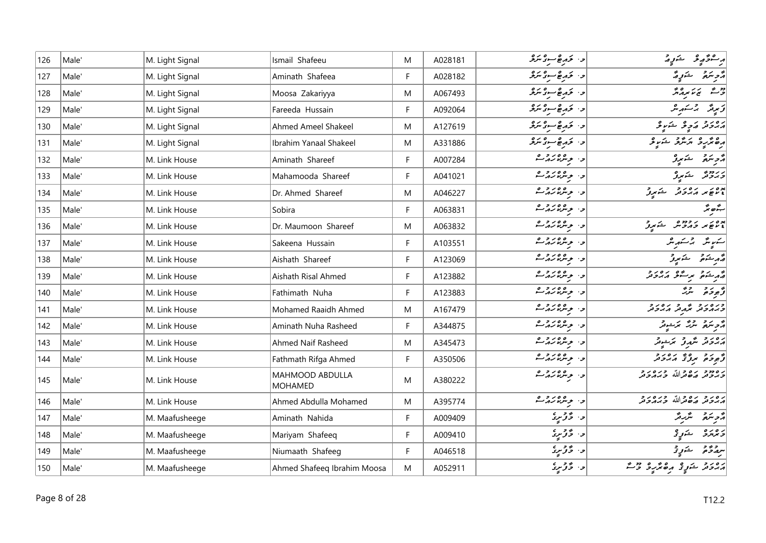| 126 | Male' | M. Light Signal | Ismail Shafeeu                    | M  | A028181 | و· تۇرغ سوڭ ئىرى                    | أبر سىتى چىم ئىستىم يەر                                                                                                                                                                                                         |
|-----|-------|-----------------|-----------------------------------|----|---------|-------------------------------------|---------------------------------------------------------------------------------------------------------------------------------------------------------------------------------------------------------------------------------|
| 127 | Male' | M. Light Signal | Aminath Shafeea                   | F  | A028182 | و· ځه هڅ سره سره                    | أأروبتهم الحكم وأأر                                                                                                                                                                                                             |
| 128 | Male' | M. Light Signal | Moosa Zakariyya                   | M  | A067493 |                                     | $50 - 20$                                                                                                                                                                                                                       |
| 129 | Male' | M. Light Signal | Fareeda Hussain                   | F. | A092064 |                                     | تزىرىگە كەسكەرلىك                                                                                                                                                                                                               |
| 130 | Male' | M. Light Signal | Ahmed Ameel Shakeel               | M  | A127619 | <sub>ح</sub> . ځهر <u>ه</u> سوچ سرچ | د د د د د و د خوړ و                                                                                                                                                                                                             |
| 131 | Male' | M. Light Signal | Ibrahim Yanaal Shakeel            | M  | A331886 |                                     |                                                                                                                                                                                                                                 |
| 132 | Male' | M. Link House   | Aminath Shareef                   | F. | A007284 | اد و هر در ده                       | أأترجع المستمير                                                                                                                                                                                                                 |
| 133 | Male' | M. Link House   | Mahamooda Shareef                 | F. | A041021 | و· ویژیز ترور ه                     | در دوم شهرو                                                                                                                                                                                                                     |
| 134 | Male' | M. Link House   | Dr. Ahmed Shareef                 | M  | A046227 | و· بویدروزه شد                      | بده ر برگ در سکورتر در در در برگزاری برگزاری برگزاری برگزاری برگزاری برگزاری به این برگزاری به کار برگزاری به<br>برگزاری برگزاری برگزاری برگزاری برگزاری برگزاری برگزاری برگزاری برگزاری برگزاری برگزاری برگزاری برگزاری برگزار |
| 135 | Male' | M. Link House   | Sobira                            | F  | A063831 | و· بومبرد رو م                      | ابثوه بثر                                                                                                                                                                                                                       |
| 136 | Male' | M. Link House   | Dr. Maumoon Shareef               | M  | A063832 | و· ویرتار در م                      | بره رودوه شهر                                                                                                                                                                                                                   |
| 137 | Male' | M. Link House   | Sakeena Hussain                   | F  | A103551 | و· بویدروز می                       | سىرىنتى ئەسىرىتى                                                                                                                                                                                                                |
| 138 | Male' | M. Link House   | Aishath Shareef                   | F  | A123069 | و· ومرار در د                       | أقهر مشكم فتحصير                                                                                                                                                                                                                |
| 139 | Male' | M. Link House   | Aishath Risal Ahmed               | F  | A123882 | د . برمرد رو ه                      | أقهر يشمح أمرية المراراة المحمدة المراريخ                                                                                                                                                                                       |
| 140 | Male' | M. Link House   | Fathimath Nuha                    | F  | A123883 | د . برمرد رو ه                      | قەبەدە بىر                                                                                                                                                                                                                      |
| 141 | Male' | M. Link House   | Mohamed Raaidh Ahmed              | M  | A167479 | و· ویر ارزمر م                      | ورەر دېمبر دەرد                                                                                                                                                                                                                 |
| 142 | Male' | M. Link House   | Aminath Nuha Rasheed              | F. | A344875 | د و مورد ده شد                      | أأترج لتركه فمراكب مرسفوقر                                                                                                                                                                                                      |
| 143 | Male' | M. Link House   | Ahmed Naif Rasheed                | M  | A345473 | د . م <i>ومبرد رو</i> ه             | أرود تمرز ترجيز                                                                                                                                                                                                                 |
| 144 | Male' | M. Link House   | Fathmath Rifga Ahmed              | F. | A350506 | وسوپلاندم                           | و و د و مروته بره د و                                                                                                                                                                                                           |
| 145 | Male' | M. Link House   | MAHMOOD ABDULLA<br><b>MOHAMED</b> | M  | A380222 | د م <i>وسر پارو</i> ه               | ره دو ده و <sub>الله</sub> وره رو<br><i>د بدونډ پره</i> نرالله وبرمرس                                                                                                                                                           |
| 146 | Male' | M. Link House   | Ahmed Abdulla Mohamed             | M  | A395774 | د . م <i>ومبر بر د ه</i>            | رەرو رەوللە ورەرو                                                                                                                                                                                                               |
| 147 | Male' | M. Maafusheege  | Aminath Nahida                    | F  | A009409 | <sub>ى:</sub> ئۇزىر <sub>ى</sub>    | أأرجر متغريقه                                                                                                                                                                                                                   |
| 148 | Male' | M. Maafusheege  | Mariyam Shafeeq                   | F  | A009410 | <sub>ى:</sub> ئۇ ئۇرگى              | د ۱۵ د عکمونی                                                                                                                                                                                                                   |
| 149 | Male' | M. Maafusheege  | Niumaath Shafeeg                  | F  | A046518 | د ۱۰ د توریخ                        | سرچ جو شور چ                                                                                                                                                                                                                    |
| 150 | Male' | M. Maafusheege  | Ahmed Shafeeq Ibrahim Moosa       | M  | A052911 | <sub>چ</sub> ، گەمى مورى            | ן פיני הוני וסתים ייש                                                                                                                                                                                                           |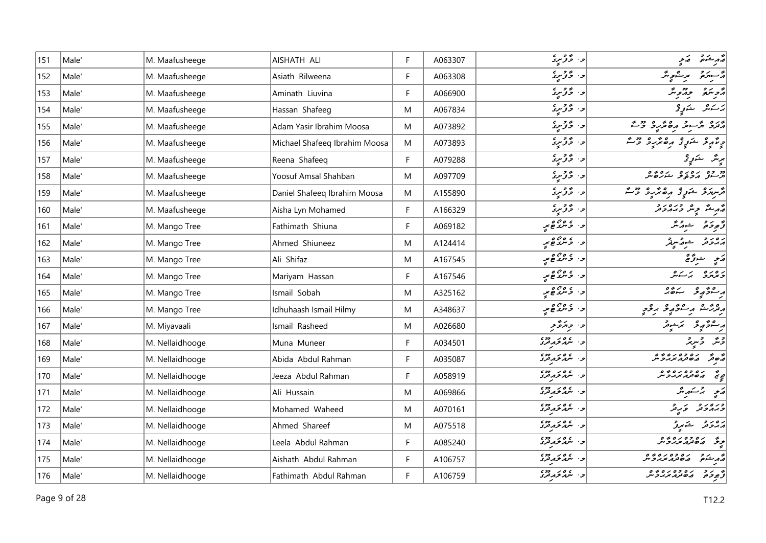| 151 | Male' | M. Maafusheege  | AISHATH ALI                   | F         | A063307 | د <sub>:</sub> د گوري                        | و ديگر دي.<br>در شکو دي                                       |
|-----|-------|-----------------|-------------------------------|-----------|---------|----------------------------------------------|---------------------------------------------------------------|
| 152 | Male' | M. Maafusheege  | Asiath Rilweena               | F         | A063308 | و٠ ۇۇيرۇ                                     | و سوره مرشوم مگر<br>مر                                        |
| 153 | Male' | M. Maafusheege  | Aminath Liuvina               | F         | A066900 | د <sub>:</sub> د گوري                        | ىردىن پىگە<br>أثربر مرد                                       |
| 154 | Male' | M. Maafusheege  | Hassan Shafeeg                | M         | A067834 | د . گ <sup>و</sup> گريزگي                    | ېزىكىش ئىشتۇرتى                                               |
| 155 | Male' | M. Maafusheege  | Adam Yasir Ibrahim Moosa      | M         | A073892 | د . د گ <sup>و</sup> ر د <sup>ه</sup>        | ונים וקיידו הסוקים כית                                        |
| 156 | Male' | M. Maafusheege  | Michael Shafeeq Ibrahim Moosa | M         | A073893 | د . گ <sup>و</sup> گريزگي                    | وٍ تَہو څوړنځ ره تر د و د                                     |
| 157 | Male' | M. Maafusheege  | Reena Shafeeq                 | F         | A079288 | د <sub>:</sub> د گوري                        | پرېنځر کشور پخ                                                |
| 158 | Male' | M. Maafusheege  | Yoosuf Amsal Shahban          | M         | A097709 | .<br>د . گ <sup>و</sup> گرېږ                 | دو وه ره ره روم ه<br>در سوز مرد څر شرکت شر                    |
| 159 | Male' | M. Maafusheege  | Daniel Shafeeq Ibrahim Moosa  | M         | A155890 | و٠ وگ <sup>و</sup> مړي                       | ترسرتك خروتى رەتمرىرى دىم                                     |
| 160 | Male' | M. Maafusheege  | Aisha Lyn Mohamed             | F         | A166329 | د . گ <sup>و</sup> گريزگي                    | أمر المستقدم والمستحدث المستحدث                               |
| 161 | Male' | M. Mango Tree   | Fathimath Shiuna              | F         | A069182 | $-2222$                                      | أرموحا والمستشر المتمر                                        |
| 162 | Male' | M. Mango Tree   | Ahmed Shiuneez                | M         | A124414 | وسيحقق ويد                                   | أرور والمستور المستحدثة                                       |
| 163 | Male' | M. Mango Tree   | Ali Shifaz                    | M         | A167545 | وسي وه و هم پر                               | أرشح المستورقيني                                              |
| 164 | Male' | M. Mango Tree   | Mariyam Hassan                | F         | A167546 | ر و و و ه و م<br>د ان د سر و هم <sub>و</sub> | رەرە بەسەر                                                    |
| 165 | Male' | M. Mango Tree   | Ismail Sobah                  | ${\sf M}$ | A325162 | د کوه همچ                                    | وكالحروف بنفاد                                                |
| 166 | Male' | M. Mango Tree   | Idhuhaash Ismail Hilmy        | ${\sf M}$ | A348637 | 5.5.5.5                                      | رورث رعودو رود                                                |
| 167 | Male' | M. Miyavaali    | Ismail Rasheed                | M         | A026680 | اد . دېږوگو.<br>——                           | رەشۇر ئىينى                                                   |
| 168 | Male' | M. Nellaidhooge | Muna Muneer                   | F         | A034501 |                                              | ونگر و تبریز                                                  |
| 169 | Male' | M. Nellaidhooge | Abida Abdul Rahman            | F         | A035087 | ه ده ده ده د                                 | ر ه و ه ر ه د ه<br>پره تر پر پر تر س<br>پ <sup>ر</sup> حو تگر |
| 170 | Male' | M. Nellaidhooge | Jeeza Abdul Rahman            | F         | A058919 | و . شهر کرده دو .<br>و . شهر کرد کرد         | ه ده ده ده ده و                                               |
| 171 | Male' | M. Nellaidhooge | Ali Hussain                   | M         | A069866 | ه ۱۶۵۰ وروپر<br>د شمه څه تره                 | أەيجە برجستىرىتىل                                             |
| 172 | Male' | M. Nellaidhooge | Mohamed Waheed                | M         | A070161 | - יטרעניפט<br>כי ייט <i>רעני</i> פ           | ورەرو كەيتر                                                   |
| 173 | Male' | M. Nellaidhooge | Ahmed Shareef                 | ${\sf M}$ | A075518 | ه ۲۰۰ وروپه<br>د شمه څه نړه                  | دەر د سىمبرو                                                  |
| 174 | Male' | M. Nellaidhooge | Leela Abdul Rahman            | F         | A085240 | -<br> - ייטג ב'וניגל                         | و ده ده ده ده و د                                             |
| 175 | Male' | M. Nellaidhooge | Aishath Abdul Rahman          | F         | A106757 | و . شهر کرده ود ،<br> - شهر کرم تری          | ر ٥ ۶ ٥ ٥ ٥ ٥ ٥<br>۵ ۵ تو ۵ برر و س<br>و.<br>در کار شوی       |
| 176 | Male' | M. Nellaidhooge | Fathimath Abdul Rahman        | F         | A106759 | و . سرگروه ود و                              | و د د ده ده ده وه                                             |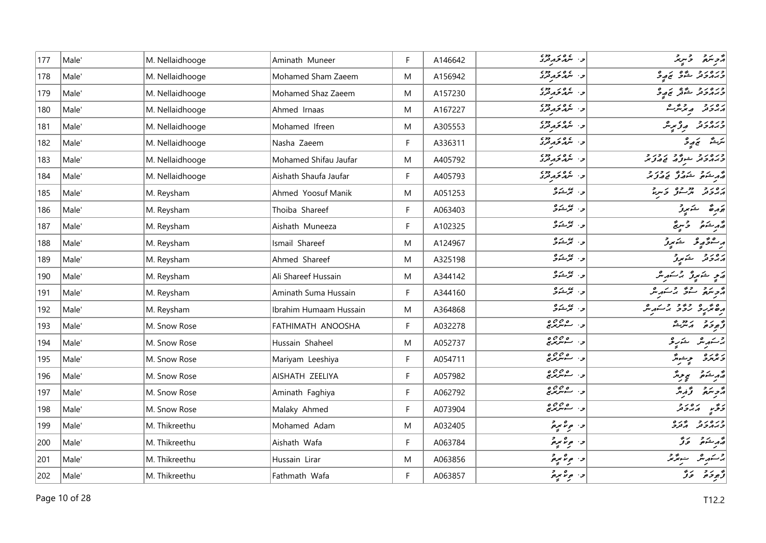| 177 | Male' | M. Nellaidhooge | Aminath Muneer         | F           | A146642 | و . شهر کردو .<br>و . شهر کرد ترو    | أزويتم وتبريز                                             |
|-----|-------|-----------------|------------------------|-------------|---------|--------------------------------------|-----------------------------------------------------------|
| 178 | Male' | M. Nellaidhooge | Mohamed Sham Zaeem     | M           | A156942 | و . شر کرد وو ،<br>و . شر کرد کرد ک  | ورەرو شۇ تەر                                              |
| 179 | Male' | M. Nellaidhooge | Mohamed Shaz Zaeem     | M           | A157230 | و . شر گروه ود .<br>و . شر گروه گرو  | وره د و محمده تم د و                                      |
| 180 | Male' | M. Nellaidhooge | Ahmed Irnaas           | M           | A167227 | و . شهر کرده ود .<br>د . شهر کرد ترو | رەرو مەرگىر                                               |
| 181 | Male' | M. Nellaidhooge | Mohamed Ifreen         | M           | A305553 | ه ۱۶۵۰ وروپر<br>د شمه څه ترو         | ورەر رۇپرىر                                               |
| 182 | Male' | M. Nellaidhooge | Nasha Zaeem            | F           | A336311 | و . شهر کرده ود .<br>و . شهر کرد تری | لتركث المجرورة                                            |
| 183 | Male' | M. Nellaidhooge | Mohamed Shifau Jaufar  | M           | A405792 | و . شر گروه دو .<br>د . شر گروه تر د | ورەر د مشركة د در د<br><i>دېدم</i> ېتر شركة د م <i>دن</i> |
| 184 | Male' | M. Nellaidhooge | Aishath Shaufa Jaufar  | $\mathsf F$ | A405793 | و . شهر کرده ود .<br>و . شهر کرد تری | د د شکوه شکور د در د                                      |
| 185 | Male' | M. Reysham      | Ahmed Yoosuf Manik     | M           | A051253 | وسيحرشون                             | גפגב כב כפי ביתי                                          |
| 186 | Male' | M. Reysham      | Thoiba Shareef         | $\mathsf F$ | A063403 | وسيحرشون                             | بورة خرير                                                 |
| 187 | Male' | M. Reysham      | Aishath Muneeza        | F           | A102325 | و· گرشوگو                            | وكركو وسي                                                 |
| 188 | Male' | M. Reysham      | Ismail Shareef         | M           | A124967 | وسيحرشون                             | ر سوځ په ځمو                                              |
| 189 | Male' | M. Reysham      | Ahmed Shareef          | M           | A325198 | وسيحرشون                             | رەرد خىرۇ                                                 |
| 190 | Male' | M. Reysham      | Ali Shareef Hussain    | M           | A344142 | و٠ کرشوگ                             | ەي خەيرو رقسىمەش                                          |
| 191 | Male' | M. Reysham      | Aminath Suma Hussain   | F           | A344160 | وسيمرشون                             | أو مرد دو و من مر                                         |
| 192 | Male' | M. Reysham      | Ibrahim Humaam Hussain | M           | A364868 | وسيحرشون                             | رەپرى روز برخور                                           |
| 193 | Male' | M. Snow Rose    | FATHIMATH ANOOSHA      | F           | A032278 | د . سه شرچ ه                         | و و د در در در                                            |
| 194 | Male' | M. Snow Rose    | Hussain Shaheel        | M           | A052737 | و. سەھرىرى                           | چەسەر ھەر ئى                                              |
| 195 | Male' | M. Snow Rose    | Mariyam Leeshiya       | F           | A054711 | و. سوهريري                           | رەرە پ <sub>رىشى</sub> رگە<br><i>دى</i> رىرى پەر          |
| 196 | Male' | M. Snow Rose    | AISHATH ZEELIYA        | $\mathsf F$ | A057982 | و، سەھرىرى                           | ۇ مەشىرە<br>مەم<br>سم عر پر                               |
| 197 | Male' | M. Snow Rose    | Aminath Faghiya        | $\mathsf F$ | A062792 | و. ڪشريري                            | أأترسكه<br>تۇ ئەرش                                        |
| 198 | Male' | M. Snow Rose    | Malaky Ahmed           | F           | A073904 | و، سەھرىيى                           | كالمحر والمراكب والمحافر                                  |
| 199 | Male' | M. Thikreethu   | Mohamed Adam           | M           | A032405 | د و مورم مره<br>د ا                  | و ر ه ر د<br>تر پر ژ تر<br>پور ہ<br>مرکزو                 |
| 200 | Male' | M. Thikreethu   | Aishath Wafa           | F           | A063784 | د و مورا مره<br>د ا                  | و در دره<br><i>مار</i> شوه وتي                            |
| 201 | Male' | M. Thikreethu   | Hussain Lirar          | M           | A063856 | د و مورامبره<br>م                    | رىسكىرىش سىرتىر                                           |
| 202 | Male' | M. Thikreethu   | Fathmath Wafa          | $\mathsf F$ | A063857 | د و موند موجو<br>د ا                 | قهودة وقر                                                 |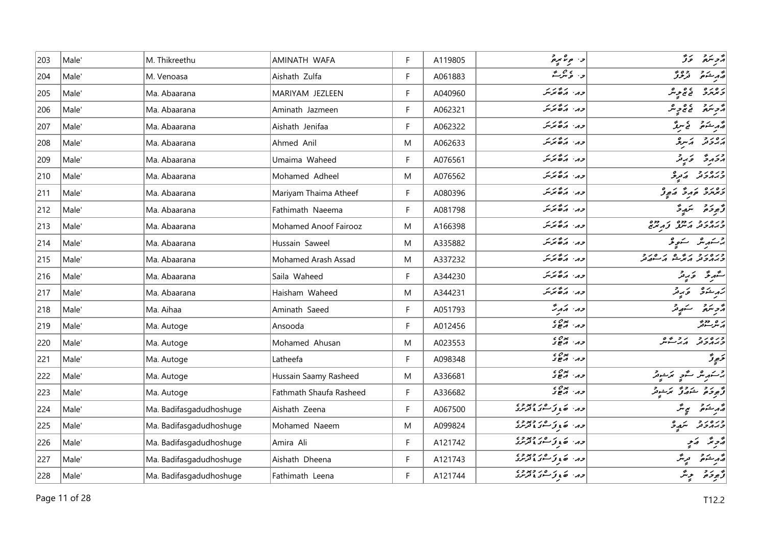| 203 | Male' | M. Thikreethu           | AMINATH WAFA            | $\mathsf F$ | A119805 | ه مورامبره<br>اح                                       | أثمر سمع<br>ىرتى                               |
|-----|-------|-------------------------|-------------------------|-------------|---------|--------------------------------------------------------|------------------------------------------------|
| 204 | Male' | M. Venoasa              | Aishath Zulfa           | F           | A061883 | د ، ءِ پڻر                                             | پ <sup>ر</sup> در شوځ<br>و ہ<br>فرعرتم         |
| 205 | Male' | Ma. Abaarana            | MARIYAM JEZLEEN         | $\mathsf F$ | A040960 | وړ٠ رُۀپرَسَ                                           | ر ه ر ه<br>ې د ه<br>پي مخ مشر                  |
| 206 | Male' | Ma. Abaarana            | Aminath Jazmeen         | F           | A062321 | وړ٠ رُۀپرَسَ                                           | ې مې چ <sub>و</sub> مگر<br>أرمز بنرو           |
| 207 | Male' | Ma. Abaarana            | Aishath Jenifaa         | F           | A062322 | وړ٠ رَهڅرَس                                            | وكرمشكم فيحسر                                  |
| 208 | Male' | Ma. Abaarana            | Ahmed Anil              | M           | A062633 | وړ٠ رُهڅر                                              | גפיב היינב                                     |
| 209 | Male' | Ma. Abaarana            | Umaima Waheed           | F           | A076561 | وړ٠ رُه ترس                                            | ودكرة كالميتر                                  |
| 210 | Male' | Ma. Abaarana            | Mohamed Adheel          | M           | A076562 | وړ ، دڅنرنتر                                           | دره رو پر کرده                                 |
| 211 | Male' | Ma. Abaarana            | Mariyam Thaima Atheef   | F           | A080396 | وړ٠ رُځ ترسَر                                          | כבתב בנב ביבי                                  |
| 212 | Male' | Ma. Abaarana            | Fathimath Naeema        | F           | A081798 | وړ . رځمنه <i>ک</i>                                    | أزودة شهرة                                     |
| 213 | Male' | Ma. Abaarana            | Mohamed Anoof Fairooz   | M           | A166398 | وړ٠ رَهڅرس                                             | כנסגב גדום צף דרס<br>בגרכת הייטר צף דים        |
| 214 | Male' | Ma. Abaarana            | Hussain Saweel          | M           | A335882 | <i>وړ ، مُغْتَرَسَ</i>                                 | چرىسى سىموق                                    |
| 215 | Male' | Ma. Abaarana            | Mohamed Arash Assad     | M           | A337232 | وړ ، دڅنرنتر                                           | ورەر و ری می رەر و<br>وبرادونل اربۇشى كەسىرلىر |
| 216 | Male' | Ma. Abaarana            | Saila Waheed            | $\mathsf F$ | A344230 | وړ . د څمکنگ                                           | ستهرقر - وَرِيْرُ                              |
| 217 | Male' | Ma. Abaarana            | Haisham Waheed          | M           | A344231 | وړ٠ ر <i>هڅو</i> نتر                                   | تەرىشى قەرىر                                   |
| 218 | Male' | Ma. Aihaa               | Aminath Saeed           | F           | A051793 | ور آرگر                                                |                                                |
| 219 | Male' | Ma. Autoge              | Ansooda                 | F           | A012456 | 587.72                                                 | بر ۵ دور.<br>مرسر در                           |
| 220 | Male' | Ma. Autoge              | Mohamed Ahusan          | M           | A023553 | $\frac{c}{s}$ en $\frac{c}{s}$                         | ورەرو روشەر                                    |
| 221 | Male' | Ma. Autoge              | Latheefa                | F           | A098348 | $50x - 12$                                             | ځږوتر                                          |
| 222 | Male' | Ma. Autoge              | Hussain Saamy Rasheed   | M           | A336681 | $\frac{c}{s}$ en $\frac{c}{s}$                         | رُ سَمرِ مُر سُمْحٍ الرَّسْوِيْر               |
| 223 | Male' | Ma. Autoge              | Fathmath Shaufa Rasheed | F           | A336682 | בתי הפישי<br>כתי הפיצ                                  | وٌ و دَمَ و دَمَ مَ شَوتَر                     |
| 224 | Male' | Ma. Badifasgadudhoshuge | Aishath Zeena           | $\mathsf F$ | A067500 |                                                        | ۇرمىنىمۇ بېرىگر                                |
| 225 | Male' | Ma. Badifasgadudhoshuge | Mohamed Naeem           | M           | A099824 | وړ٠ ځې تر ۵ د ويو و ،<br>وړ٠ ځې تر سر د ويو وي         | ورەر ئەرۋ                                      |
| 226 | Male' | Ma. Badifasgadudhoshuge | Amira Ali               | $\mathsf F$ | A121742 | در که د کرده د در دره<br>در که د کرده درد              | ړې دې                                          |
| 227 | Male' | Ma. Badifasgadudhoshuge | Aishath Dheena          | F           | A121743 | در ۱۵ و تر ۱۶۶۵ ورود در<br>۱۸۶۲ کارتو تولید و تر تر در | ۇ مەسىسىسى<br>ھەمرىسىنىمى<br>قرِسٌر            |
| 228 | Male' | Ma. Badifasgadudhoshuge | Fathimath Leena         | F           | A121744 | <br>  ۱۸۶۰ - ۱۵ و کوسوی و ترس                          | توجو فمح فريتر                                 |
|     |       |                         |                         |             |         |                                                        |                                                |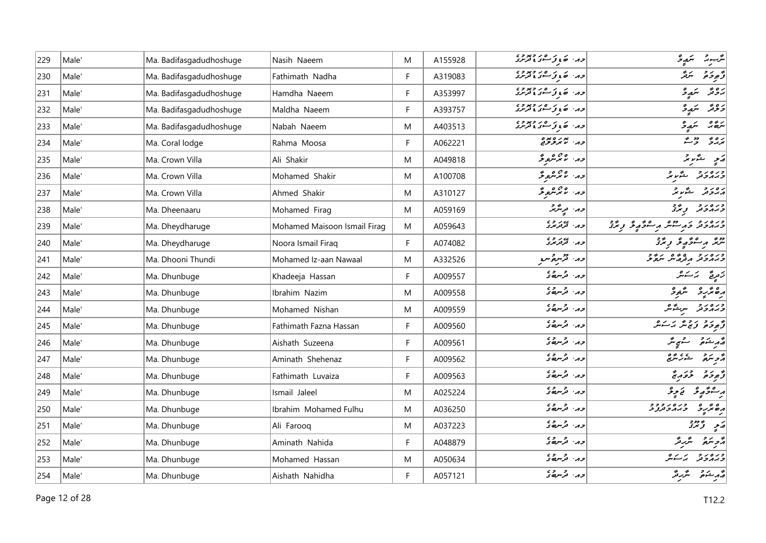| 229 | Male' | Ma. Badifasgadudhoshuge | Nasih Naeem                  | M           | A155928 | وړ که د کورونو ده<br>در که د ک             | ىگرىبىد <sup>ى</sup> ر<br>م<br>سَمِيرة            |
|-----|-------|-------------------------|------------------------------|-------------|---------|--------------------------------------------|---------------------------------------------------|
| 230 | Male' | Ma. Badifasgadudhoshuge | Fathimath Nadha              | F           | A319083 | وړ که د کورونو ده<br>در که د کورنو لر      | و مر د<br>تر مور مو<br>سرتر                       |
| 231 | Male' | Ma. Badifasgadudhoshuge | Hamdha Naeem                 | $\mathsf F$ | A353997 | در ۰ که د کرده د در دره<br>در ۲ که د کرد د | رە ئە<br>بروتر<br>سَمِيرة                         |
| 232 | Male' | Ma. Badifasgadudhoshuge | Maldha Naeem                 | F           | A393757 | در ۱۵ و تر ۱۶۵ وبود و ۲                    | ر ه بو<br>تر تر تر<br>سكەچە                       |
| 233 | Male' | Ma. Badifasgadudhoshuge | Nabah Naeem                  | M           | A403513 | <br>  دړې ځونو کورونونونونونو              | سرەم<br>سمەچ                                      |
| 234 | Male' | Ma. Coral lodge         | Rahma Moosa                  | $\mathsf F$ | A062221 | ه در بره بره<br><i>د</i> ړ کا بربوبوبح     | ر ہ ء<br>بوبر <del>ڈ</del><br>درمیز               |
| 235 | Male' | Ma. Crown Villa         | Ali Shakir                   | M           | A049818 | دە. بىر مەھرىم                             | ړې شرېر                                           |
| 236 | Male' | Ma. Crown Villa         | Mohamed Shakir               | M           | A100708 | رە، ئاترىن <sub>دى</sub> رۇ                | ورەرو شەرق                                        |
| 237 | Male' | Ma. Crown Villa         | Ahmed Shakir                 | M           | A310127 | دە. ، ئاترىئىدۇ                            | رەرو ئىرىد                                        |
| 238 | Male' | Ma. Dheenaaru           | Mohamed Firag                | M           | A059169 | وړ٠ وړسگرچر                                | ورەر دېرى<br><i>دى</i> رمەدىر ئ <i>ويى</i> رى     |
| 239 | Male' | Ma. Dheydharuge         | Mohamed Maisoon Ismail Firag | M           | A059643 | وړ٠ توتر پر و ،<br>  وړ٠ ترتر <i>پر</i> و  | כמחכת כתבות תפובת ב נית                           |
| 240 | Male' | Ma. Dheydharuge         | Noora Ismail Firaq           | F           | A074082 | و در دره و د و د<br>محمد از محمد محمد د    | مريحه وبالمحروفة وبرقية                           |
| 241 | Male' | Ma. Dhooni Thundi       | Mohamed Iz-aan Nawaal        | M           | A332526 | حەر بىر <i>ھەتىرى بىرى</i>                 | כנסנכ הסים ניכב<br>בגהכת התהית ייפיב              |
| 242 | Male' | Ma. Dhunbuge            | Khadeeja Hassan              | $\mathsf F$ | A009557 | כו. נריינסיב                               | ترىرىق كەسكەش                                     |
| 243 | Male' | Ma. Dhunbuge            | Ibrahim Nazim                | M           | A009558 | בו. בריינסיב                               | مەھەر ئەر ئىستىم                                  |
| 244 | Male' | Ma. Dhunbuge            | Mohamed Nishan               | M           | A009559 | כומי המינ <i>וס</i> יב                     | ورەرو سرشەر                                       |
| 245 | Male' | Ma. Dhunbuge            | Fathimath Fazna Hassan       | F           | A009560 | בוגי הריינדים ב                            | ۇي ئەم زىن ئەسكەر                                 |
| 246 | Male' | Ma. Dhunbuge            | Aishath Suzeena              | F           | A009561 | בוגי הריינדים ב                            | ۇرمىنى ئىم ئى                                     |
| 247 | Male' | Ma. Dhunbuge            | Aminath Shehenaz             | F           | A009562 | כומי המינ <i>וס</i> יב                     | ے بر بر میں<br>مشر <sup>ی</sup> ر سرچ<br>أأحر سرة |
| 248 | Male' | Ma. Dhunbuge            | Fathimath Luvaiza            | F           | A009563 | כומי המינ <i>וס</i> יב                     | أوجوده وديدة                                      |
| 249 | Male' | Ma. Dhunbuge            | Ismail Jaleel                | M           | A025224 | בו. בריינסיב                               | راعدة أوقع والمحافية في                           |
| 250 | Male' | Ma. Dhunbuge            | Ibrahim Mohamed Fulhu        | M           | A036250 | בוגי הריינדים ב                            |                                                   |
| 251 | Male' | Ma. Dhunbuge            | Ali Farooq                   | M           | A037223 | כומי המינ <i>וס</i> יב                     | $rac{277}{377}$ $rac{7}{3}$                       |
| 252 | Male' | Ma. Dhunbuge            | Aminath Nahida               | F           | A048879 | בו. בריינסיב                               | ړٌ پر سَر سُر سُر سُر سُر                         |
| 253 | Male' | Ma. Dhunbuge            | Mohamed Hassan               | M           | A050634 | בוגי הריינדים ב                            | و ر ە ر و<br><i>د بر</i> بر تر<br>برسەمىر         |
| 254 | Male' | Ma. Dhunbuge            | Aishath Nahidha              | F           | A057121 | כומי המינ <i>וס</i> יב                     | ە ئەرىشكە ئىسىر ئىر                               |
|     |       |                         |                              |             |         |                                            |                                                   |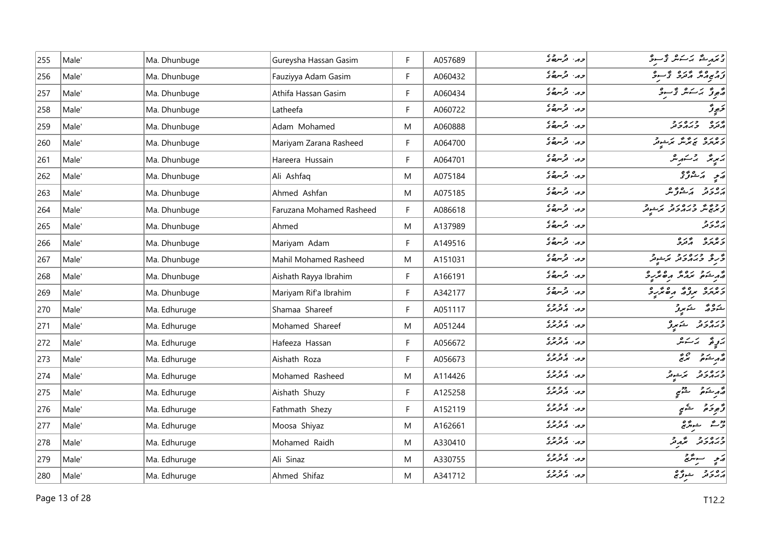| 255 | Male' | Ma. Dhunbuge | Gureysha Hassan Gasim    | F         | A057689 | כומי הריטופים                      | و محمد مشر كە سىر تۇسىر ئى                                                                                          |
|-----|-------|--------------|--------------------------|-----------|---------|------------------------------------|---------------------------------------------------------------------------------------------------------------------|
| 256 | Male' | Ma. Dhunbuge | Fauziyya Adam Gasim      | F.        | A060432 | בו. נקייק <i>ים ב</i>              | و و و و و و و محرو                                                                                                  |
| 257 | Male' | Ma. Dhunbuge | Athifa Hassan Gasim      | F.        | A060434 | בני הריינסיב                       | ۇ بۇ ئەسكىل ئۇسۇ                                                                                                    |
| 258 | Male' | Ma. Dhunbuge | Latheefa                 | F         | A060722 | בני הרייקים ב                      | خبوتر                                                                                                               |
| 259 | Male' | Ma. Dhunbuge | Adam Mohamed             | M         | A060888 | כני נקייקים <i>ב</i>               | وره دره رد<br>مرکز درگردند                                                                                          |
| 260 | Male' | Ma. Dhunbuge | Mariyam Zarana Rasheed   | F         | A064700 | בוג - ترس <i>ي</i> ره د            | رەرە بەشكە مەشوقە                                                                                                   |
| 261 | Male' | Ma. Dhunbuge | Hareera Hussain          | F         | A064701 | בוג - בהייק <i>ום ב</i>            | أيميتى المستهرش                                                                                                     |
| 262 | Male' | Ma. Dhunbuge | Ali Ashfaq               | M         | A075184 | כומי המינ <i>וס</i> יב             | ر<br>مرحم مرکبونونو                                                                                                 |
| 263 | Male' | Ma. Dhunbuge | Ahmed Ashfan             | M         | A075185 | כומי המינ <i>וס</i> יב             | رەرد رەپرە                                                                                                          |
| 264 | Male' | Ma. Dhunbuge | Faruzana Mohamed Rasheed | F         | A086618 | כני נקייקים <i>ב</i>               | ار وه به دره رو ار درو<br>او برنج س وبردونر ابر شینر                                                                |
| 265 | Male' | Ma. Dhunbuge | Ahmed                    | M         | A137989 | בני הריינסיב                       | پر ژبخه                                                                                                             |
| 266 | Male' | Ma. Dhunbuge | Mariyam Adam             | F         | A149516 | בו. נרייק <i>ים ב</i>              | ر ہ رہ ہورہ<br>ت <i>ر ہور</i> ت مرک <i>ر</i> تہ                                                                     |
| 267 | Male' | Ma. Dhunbuge | Mahil Mohamed Rasheed    | M         | A151031 | כומי המינ <i>וס</i> ים             | و و دره د د برخونه                                                                                                  |
| 268 | Male' | Ma. Dhunbuge | Aishath Rayya Ibrahim    | F         | A166191 | בוג - ترسرچ<br><i>ב</i> וג - ترسرچ | התשים מגות תסתים                                                                                                    |
| 269 | Male' | Ma. Dhunbuge | Mariyam Rif'a Ibrahim    | F         | A342177 | כומי המינ <i>וס</i> יב             | כמתכ תו הם תפתיכ                                                                                                    |
| 270 | Male' | Ma. Edhuruge | Shamaa Shareef           | F         | A051117 | ه در ۱۶۶۶<br>د د اړمرمرد           | شرورم شهرتر                                                                                                         |
| 271 | Male' | Ma. Edhuruge | Mohamed Shareef          | M         | A051244 | ے و و ے<br>وہر با امریکوی          | وره دو ځمینو                                                                                                        |
| 272 | Male' | Ma. Edhuruge | Hafeeza Hassan           | F         | A056672 | ے و و ء<br>وەس مەقرىمزى            | يَرَوٍ جُي سَنَاسٌ                                                                                                  |
| 273 | Male' | Ma. Edhuruge | Aishath Roza             | F.        | A056673 | ے و و ی<br>حهر به مرمزی            | $\begin{array}{cc} \mathcal{L} & \mathcal{L} \\ \mathcal{L} & \mathcal{L} \\ \mathcal{L} & \mathcal{L} \end{array}$ |
| 274 | Male' | Ma. Edhuruge | Mohamed Rasheed          | M         | A114426 | ے و و ع<br>وەس مەقىرىمى            | ورەرو كەنبەتر                                                                                                       |
| 275 | Male' | Ma. Edhuruge | Aishath Shuzy            | F         | A125258 | ے و و ع<br>وړ ۰ مرمر <i>ی</i>      | $\overline{a^2 + a^2 + a^2}$                                                                                        |
| 276 | Male' | Ma. Edhuruge | Fathmath Shezy           | F         | A152119 | ے و و ے<br>وہر با ادائر مزی        | توجوحتم لتكبح                                                                                                       |
| 277 | Male' | Ma. Edhuruge | Moosa Shiyaz             | M         | A162661 | ے و و ی<br>حەم : مەقىرىمى          | ود محمد شوده در در من<br>مراجع                                                                                      |
| 278 | Male' | Ma. Edhuruge | Mohamed Raidh            | M         | A330410 | ے و و ء<br>وەس مەنترىمى            | ورەرو ئەد                                                                                                           |
| 279 | Male' | Ma. Edhuruge | Ali Sinaz                | M         | A330755 | ے و و ے<br>وہر با ادائر مور        | ە ئەس سەيتىنى<br>مۇسىر                                                                                              |
| 280 | Male' | Ma. Edhuruge | Ahmed Shifaz             | ${\sf M}$ | A341712 |                                    | رەرد ئىدۇنج                                                                                                         |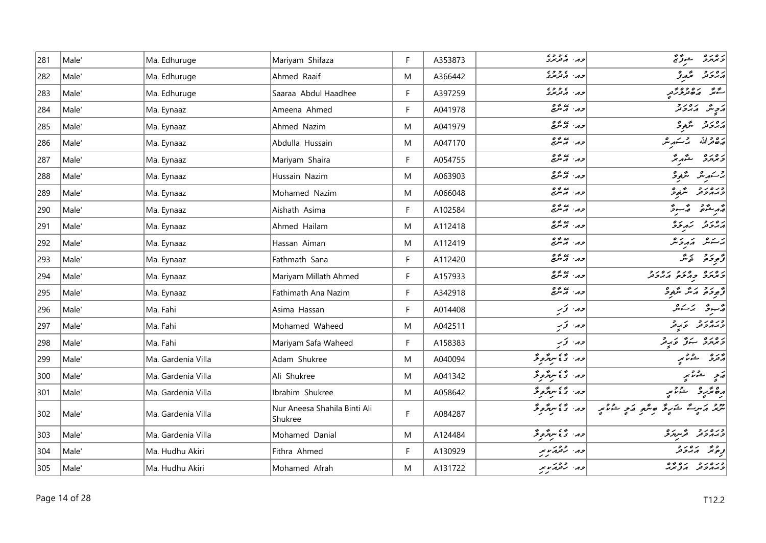| 281 | Male' | Ma. Edhuruge       | Mariyam Shifaza                         | $\mathsf F$ | A353873 | ے و و ء<br>حەمل سىمىرى                      | ر ه ر ه<br>تر بر بر<br>شوقرمج               |
|-----|-------|--------------------|-----------------------------------------|-------------|---------|---------------------------------------------|---------------------------------------------|
| 282 | Male' | Ma. Edhuruge       | Ahmed Raaif                             | M           | A366442 | ے و و ء<br>حەد بە مەنغەنى                   | أرور و محمد و                               |
| 283 | Male' | Ma. Edhuruge       | Saaraa Abdul Haadhee                    | $\mathsf F$ | A397259 | ے و و ء<br><i>وہ ب</i> مرمر <sub>مر</sub> ی | شعر بره وه و پر                             |
| 284 | Male' | Ma. Eynaaz         | Ameena Ahmed                            | F           | A041978 | ود که شرح                                   | پرچنگ پره د د                               |
| 285 | Male' | Ma. Eynaaz         | Ahmed Nazim                             | M           | A041979 | وړ٠ کمه پوځ                                 | دەر د شهرو                                  |
| 286 | Male' | Ma. Eynaaz         | Abdulla Hussain                         | M           | A047170 | ود که شرح                                   | حده قرالله جر محمد مثر                      |
| 287 | Male' | Ma. Eynaaz         | Mariyam Shaira                          | F           | A054755 | בוגי והייתים                                | شتگەر تىر<br>ر ه ر ه<br><del>ر</del> بربرگر |
| 288 | Male' | Ma. Eynaaz         | Hussain Nazim                           | M           | A063903 | ود که شرح                                   | جەسىرىكە ئىگەنجە                            |
| 289 | Male' | Ma. Eynaaz         | Mohamed Nazim                           | M           | A066048 | בוגי והייתים                                | ورەر ئەگەۋ                                  |
| 290 | Male' | Ma. Eynaaz         | Aishath Asima                           | $\mathsf F$ | A102584 | בוגי וג'יינים                               | وأرشكم وأسبو                                |
| 291 | Male' | Ma. Eynaaz         | Ahmed Hailam                            | M           | A112418 | وړ٠ پرسرچ                                   | برەرو ئېرىمى                                |
| 292 | Male' | Ma. Eynaaz         | Hassan Aiman                            | M           | A112419 | בוגי וג'יינים                               | يز کشما ما مارچ مل                          |
| 293 | Male' | Ma. Eynaaz         | Fathmath Sana                           | F           | A112420 | وړ٠ پرسرچ                                   | قهوترة لايتر                                |
| 294 | Male' | Ma. Eynaaz         | Mariyam Millath Ahmed                   | F           | A157933 | בוגי והייתים                                | נסנס פנדק נסנד<br>כמונכ כנדק גמכת           |
| 295 | Male' | Ma. Eynaaz         | Fathimath Ana Nazim                     | $\mathsf F$ | A342918 | وړ٠ پرسرچ                                   | أزَّوِدَهُ أَسَدٌ مَّنْ و                   |
| 296 | Male' | Ma. Fahi           | Asima Hassan                            | F           | A014408 | احەر بىمىز                                  | لأسوق الاسكان                               |
| 297 | Male' | Ma. Fahi           | Mohamed Waheed                          | M           | A042511 | وړ کوب                                      | وره دو درو                                  |
| 298 | Male' | Ma. Fahi           | Mariyam Safa Waheed                     | F           | A158383 | وە تې                                       | دەرە بىر ئەر                                |
| 299 | Male' | Ma. Gardenia Villa | Adam Shukree                            | M           | A040094 | ور. دُ ۽ُ سِرٿرو ٿُر                        | پره دور<br>مرکز شماسي                       |
| 300 | Male' | Ma. Gardenia Villa | Ali Shukree                             | M           | A041342 | در نمکم مرکور                               | أەسمج سىم ئىسمىتىر                          |
| 301 | Male' | Ma. Gardenia Villa | Ibrahim Shukree                         | M           | A058642 | در گ <sup>ی</sup> سرگونگر                   | دەندىر ئىسىمى<br>رەندىيە                    |
| 302 | Male' | Ma. Gardenia Villa | Nur Aneesa Shahila Binti Ali<br>Shukree | $\mathsf F$ | A084287 | در گی سرگروگر                               |                                             |
| 303 | Male' | Ma. Gardenia Villa | Mohamed Danial                          | M           | A124484 | در گ <sup>ی</sup> مرتزودگر                  | ورەرو ئەسكر                                 |
| 304 | Male' | Ma. Hudhu Akiri    | Fithra Ahmed                            | F           | A130929 | در گیمه دید                                 | وحق مەدرو                                   |
| 305 | Male' | Ma. Hudhu Akiri    | Mohamed Afrah                           | M           | A131722 | <br>  <i>دە</i> ستىمەرىر                    | כנסנכ נסיפס<br>כגהכת הציגה                  |
|     |       |                    |                                         |             |         |                                             |                                             |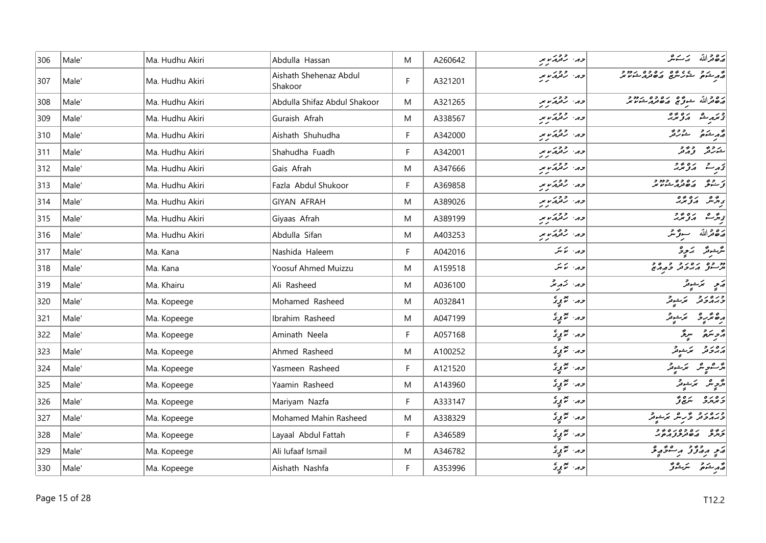| 306 | Male' | Ma. Hudhu Akiri | Abdulla Hassan                    | M           | A260642 | حدث المتحدة المعدد<br>  حدث المتحدة المعدد<br>  حدث المتحدة المعدد | مَدْهُ مَّدَاللَّهُ بَرَسَوْسُ                                                                                                             |
|-----|-------|-----------------|-----------------------------------|-------------|---------|--------------------------------------------------------------------|--------------------------------------------------------------------------------------------------------------------------------------------|
| 307 | Male' | Ma. Hudhu Akiri | Aishath Shehenaz Abdul<br>Shakoor | F           | A321201 |                                                                    | ر<br>در شوی شور سره بر ۵۶۵ در در د                                                                                                         |
| 308 | Male' | Ma. Hudhu Akiri | Abdulla Shifaz Abdul Shakoor      | M           | A321265 | در دوربریر                                                         | ره و الله شور و ده در دود.<br>مهاور الله شور و مهاور مدود شور مر                                                                           |
| 309 | Male' | Ma. Hudhu Akiri | Guraish Afrah                     | M           | A338567 | <i>دەن ئىقەكى</i> رىس                                              | تحترم ترويجه                                                                                                                               |
| 310 | Male' | Ma. Hudhu Akiri | Aishath Shuhudha                  | F           | A342000 | <i>دە. ئىگەنى</i> ر                                                | وكرم شكوم المشارقة                                                                                                                         |
| 311 | Male' | Ma. Hudhu Akiri | Shahudha Fuadh                    | F           | A342001 | وړ . ژور <i>لا</i> بر                                              | شرژش ژوژنر                                                                                                                                 |
| 312 | Male' | Ma. Hudhu Akiri | Gais Afrah                        | M           | A347666 | <br>  <i>دە</i> ئەقەم بىر                                          | تورث مروجر                                                                                                                                 |
| 313 | Male' | Ma. Hudhu Akiri | Fazla Abdul Shukoor               | F           | A369858 | <br>  <i>دە، ئىقدىم</i>                                            | د وه ده وه ودو و<br>از خود پره ترپر شونو بر                                                                                                |
| 314 | Male' | Ma. Hudhu Akiri | <b>GIYAN AFRAH</b>                | M           | A389026 | <i>دە. ئىگەنى</i> ر                                                | ي پڙس پرويور                                                                                                                               |
| 315 | Male' | Ma. Hudhu Akiri | Giyaas Afrah                      | M           | A389199 | <i>دە. ئىگەنى</i> ر                                                | ت <sub>و</sub> مرَّت پره پر د                                                                                                              |
| 316 | Male' | Ma. Hudhu Akiri | Abdulla Sifan                     | M           | A403253 | <i>دە. ئىگەنى</i> رىيە                                             | قەھەتەللە سۆزىتر                                                                                                                           |
| 317 | Male' | Ma. Kana        | Nashida Haleem                    | F           | A042016 | وە ، ئەنتر                                                         | مَرْجودَ   بَرَجٍ وَ                                                                                                                       |
| 318 | Male' | Ma. Kana        | Yoosuf Ahmed Muizzu               | M           | A159518 | وە ، ئەنتر                                                         | מ כם גםגב ב בב<br>תיינ גגבת בגהב                                                                                                           |
| 319 | Male' | Ma. Khairu      | Ali Rasheed                       | M           | A036100 | در ۱۰ زر بر                                                        | $\begin{array}{cc} \mathcal{Z}_{2} & \mathcal{Z}_{2} & \mathcal{Z}_{2} \\ \mathcal{Z}_{2} & \mathcal{Z}_{2} & \mathcal{Z}_{2} \end{array}$ |
| 320 | Male' | Ma. Kopeege     | Mohamed Rasheed                   | M           | A032841 | حەر، سىمج يى                                                       | دره د د کرد ول                                                                                                                             |
| 321 | Male' | Ma. Kopeege     | Ibrahim Rasheed                   | M           | A047199 | حەر، سىمج دى                                                       | رە ئرىر ئىن ئىشى                                                                                                                           |
| 322 | Male' | Ma. Kopeege     | Aminath Neela                     | $\mathsf F$ | A057168 | حەر، سىمج يى                                                       | أأدمن المستحر                                                                                                                              |
| 323 | Male' | Ma. Kopeege     | Ahmed Rasheed                     | M           | A100252 | حەر بىلىم يوپى                                                     | رەر <del>د</del> كەش <sub>ى</sub> تىر                                                                                                      |
| 324 | Male' | Ma. Kopeege     | Yasmeen Rasheed                   | F           | A121520 | در به نیوی                                                         | گرے <sub>چے</sub> مگر کرے پر محمد اللہ کے مقدم                                                                                             |
| 325 | Male' | Ma. Kopeege     | Yaamin Rasheed                    | M           | A143960 | در به نور ؟<br>                                                    | تژدید کرشونر                                                                                                                               |
| 326 | Male' | Ma. Kopeege     | Mariyam Nazfa                     | F           | A333147 | حەر بىلىم يوپى                                                     | د ۵ د ۵ د ۵ و                                                                                                                              |
| 327 | Male' | Ma. Kopeege     | Mohamed Mahin Rasheed             | M           | A338329 | در به نیوی                                                         | ورورو وربر برشوتر                                                                                                                          |
| 328 | Male' | Ma. Kopeege     | Layaal Abdul Fattah               | F           | A346589 | در به نیوی                                                         | ر ده ده ده ده د د<br>نوارند ها ترنو زاره بر                                                                                                |
| 329 | Male' | Ma. Kopeege     | Ali lufaaf Ismail                 | M           | A346782 | در به نور ؟                                                        | ړې موړي مشو دي.                                                                                                                            |
| 330 | Male' | Ma. Kopeege     | Aishath Nashfa                    | F           | A353996 | د مربع بور                                                         | أمار منكامي المستركون                                                                                                                      |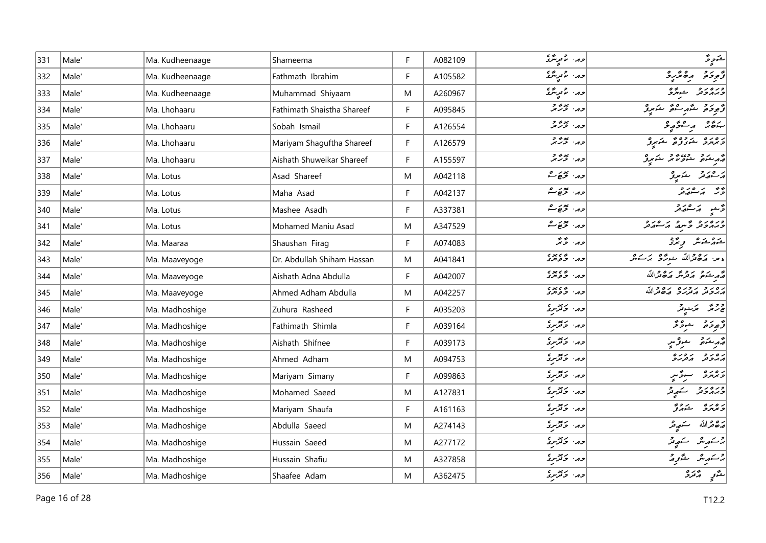| 331 | Male' | Ma. Kudheenaage | Shameema                   | F           | A082109 | در ، غږمېږينگه           | شەرچ                                                  |
|-----|-------|-----------------|----------------------------|-------------|---------|--------------------------|-------------------------------------------------------|
| 332 | Male' | Ma. Kudheenaage | Fathmath Ibrahim           | F           | A105582 | در ، غږمېنگه             | ۇ ب <sub>و</sub> ر د<br>ەرھ <i>مۇر</i> ۋ              |
| 333 | Male' | Ma. Kudheenaage | Muhammad Shiyaam           | M           | A260967 | دە. ئۇمدىترىگە           | ورەر د<br>تەبەر تەشرى                                 |
| 334 | Male' | Ma. Lhohaaru    | Fathimath Shaistha Shareef | F           | A095845 | وړ ، عرصي                | رَّمِ رَمَّ شَہرِ شَہَرِ شَہْرِ وَ                    |
| 335 | Male' | Ma. Lhohaaru    | Sobah Ismail               | F           | A126554 | وە ئەترىم                | ينفص وعقوقه                                           |
| 336 | Male' | Ma. Lhohaaru    | Mariyam Shaguftha Shareef  | $\mathsf F$ | A126579 | وړ بورې                  | رەرە بەدە ئەيدۇ                                       |
| 337 | Male' | Ma. Lhohaaru    | Aishath Shuweikar Shareef  | $\mathsf F$ | A155597 | وړ بورنو                 | د در در ۲۶۵۵۶ وروسی<br>در شور شور ۲۷ ورم              |
| 338 | Male' | Ma. Lotus       | Asad Shareef               | M           | A042118 | رە. ئۇغ گ                | كاستهكاك المتكامرو                                    |
| 339 | Male' | Ma. Lotus       | Maha Asad                  | F           | A042137 | $2e^{x}$                 | $7.001$ $7.00$                                        |
| 340 | Male' | Ma. Lotus       | Mashee Asadh               | F           | A337381 | دە. ئۇغ <sup>0</sup>     | گرھو   پر صرحر                                        |
| 341 | Male' | Ma. Lotus       | Mohamed Maniu Asad         | M           | A347529 | دړ. ځوځ ک                | כמחכת ליינה השיתת                                     |
| 342 | Male' | Ma. Maaraa      | Shaushan Firag             | F           | A074083 | دەر بە ئەتر              | شەر شەھر بولىرتى                                      |
| 343 | Male' | Ma. Maaveyoge   | Dr. Abdullah Shiham Hassan | M           | A041841 | و پر ده ده<br>ور د گوهری | ، مەھەرللە خەرج ئەسكىر                                |
| 344 | Male' | Ma. Maaveyoge   | Aishath Adna Abdulla       | F           | A042007 | כתי כסיבי<br>כתי כסיביב  | وكرمشو المتعر وكالمتحر الله                           |
| 345 | Male' | Ma. Maaveyoge   | Ahmed Adham Abdulla        | M           | A042257 | و پر دی.<br>و پر د گروری | ره رو روره بره دالله<br>مهرومر معر <i>رو م</i> هرالله |
| 346 | Male' | Ma. Madhoshige  | Zuhura Rasheed             | F           | A035203 | دړ کوترېږي               | چ <sup>2</sup> ر پر سور                               |
| 347 | Male' | Ma. Madhoshige  | Fathimath Shimla           | F           | A039164 | در د ترسره               | ژوده جود                                              |
| 348 | Male' | Ma. Madhoshige  | Aishath Shifnee            | F           | A039173 | وړ کو ترمړنی             | كم مشكوم الشوقوس                                      |
| 349 | Male' | Ma. Madhoshige  | Ahmed Adham                | M           | A094753 | دړ و ترمړنی              | ره رو بروره<br>پرېدونس پرتو <i>ر</i> و                |
| 350 | Male' | Ma. Madhoshige  | Mariyam Simany             | $\mathsf F$ | A099863 | دړ کوترېږي               | دیرود سوڈس                                            |
| 351 | Male' | Ma. Madhoshige  | Mohamed Saeed              | M           | A127831 | وړ٠ وګر <i>ېږ</i> ؟      | ورەرو سەرو                                            |
| 352 | Male' | Ma. Madhoshige  | Mariyam Shaufa             | F           | A161163 | وړ کوترېږي               | ره ره دود<br><i>ویویرو</i> شود تو                     |
| 353 | Male' | Ma. Madhoshige  | Abdulla Saeed              | M           | A274143 | دړ. کوترېږي              | پره مرالله سکوپه مر                                   |
| 354 | Male' | Ma. Madhoshige  | Hussain Saeed              | M           | A277172 | دړ کوترېږي               | چرىسى سىھەتىر                                         |
| 355 | Male' | Ma. Madhoshige  | Hussain Shafiu             | M           | A327858 | در دېمريز                | بر سکه شر شور مشور م                                  |
| 356 | Male' | Ma. Madhoshige  | Shaafee Adam               | M           | A362475 | وړ٠ وګرمړنی              | شَرْرٍ   در در د                                      |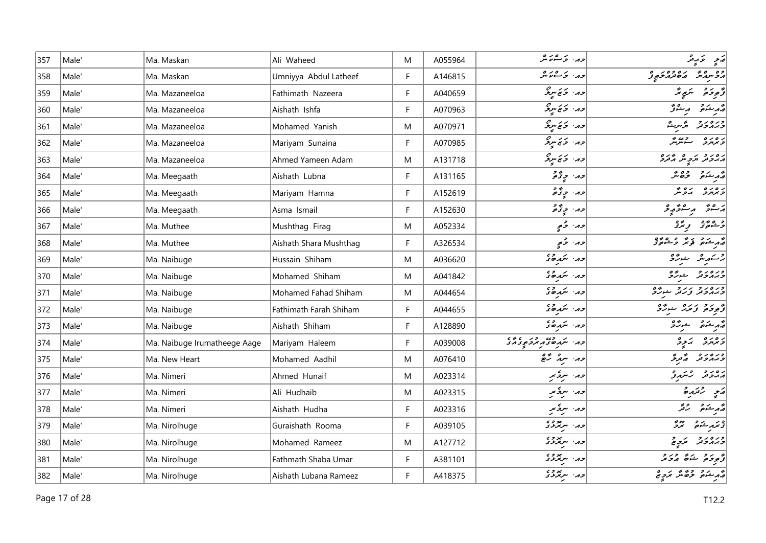| 357 | Male' | Ma. Maskan                   | Ali Waheed             | M  | A055964 | <i>دە. خىستى</i> تىر       | ە ئەرەر<br>مۇسىمىيە                              |
|-----|-------|------------------------------|------------------------|----|---------|----------------------------|--------------------------------------------------|
| 358 | Male' | Ma. Maskan                   | Umniyya Abdul Latheef  | F  | A146815 | ور. ۇسۇمئەتلە              | כפי מי הפכפי בפי                                 |
| 359 | Male' | Ma. Mazaneeloa               | Fathimath Nazeera      | F  | A040659 | وړ کې سرگر                 | قَەردۇ سەپتى                                     |
| 360 | Male' | Ma. Mazaneeloa               | Aishath Ishfa          | F. | A070963 | وړ کې سرگر                 | ومرشق مشوقه                                      |
| 361 | Male' | Ma. Mazaneeloa               | Mohamed Yanish         | M  | A070971 | وړ٠ د <sub>کمک</sub> سرچ   | و ر ه ر د<br>و بر پر و تر                        |
| 362 | Male' | Ma. Mazaneeloa               | Mariyam Sunaina        | F  | A070985 | ور. ئ <sup>ى</sup> ئىرتى   | <u>ر وي پر</u><br>ر ه ر ه<br><del>ر</del> بربر ژ |
| 363 | Male' | Ma. Mazaneeloa               | Ahmed Yameen Adam      | M  | A131718 | وړ کوځ سرگو                | גפגב הבית הבנב                                   |
| 364 | Male' | Ma. Meegaath                 | Aishath Lubna          | F  | A131165 | وړ٠ وِرُو                  | أقرم شكرة المتحده متر                            |
| 365 | Male' | Ma. Meegaath                 | Mariyam Hamna          | F  | A152619 | دړ٠ د پڅو                  | رەرە بەھ                                         |
| 366 | Male' | Ma. Meegaath                 | Asma Ismail            | F  | A152630 | وړ٠ و توه<br>در٠ و تو      | ر ه پيځ<br>برىشۇپەيۋ                             |
| 367 | Male' | Ma. Muthee                   | Mushthag Firaq         | M  | A052334 | وړ وپ                      | وه و و پر د                                      |
| 368 | Male' | Ma. Muthee                   | Aishath Shara Mushthag | F  | A326534 | ور. دُمٍ                   | د.<br>د کام شوی او شوی د کامونی                  |
| 369 | Male' | Ma. Naibuge                  | Hussain Shiham         | M  | A036620 | בו ייתום צ                 | جر شهر مشور محدث و                               |
| 370 | Male' | Ma. Naibuge                  | Mohamed Shiham         | M  | A041842 | בו ייתום צ                 | ورەرو ئىدۇۋ                                      |
| 371 | Male' | Ma. Naibuge                  | Mohamed Fahad Shiham   | M  | A044654 | בו. יתופל                  | ورەر و ررو جرگو                                  |
| 372 | Male' | Ma. Naibuge                  | Fathimath Farah Shiham | F  | A044655 | دړ٠ سَره دی                | وتجوده وتمر حرزو                                 |
| 373 | Male' | Ma. Naibuge                  | Aishath Shiham         | F  | A128890 | בו ייתופל                  | وكرمشكم المستركر                                 |
| 374 | Male' | Ma. Naibuge Irumatheege Aage | Mariyam Haleem         | F  | A039008 | בג' יית כש בר גיבי         | دەرە بەدە                                        |
| 375 | Male' | Ma. New Heart                | Mohamed Aadhil         | M  | A076410 | $rac{1}{2}$                | ورەر د ئور                                       |
| 376 | Male' | Ma. Nimeri                   | Ahmed Hunaif           | M  | A023314 | دە بىر <sub>ى</sub> مىيە   | رەرو جىمدۇ                                       |
| 377 | Male' | Ma. Nimeri                   | Ali Hudhaib            | M  | A023315 | در. سرڈ <sub>مر</sub>      | أوسمح ويحرره                                     |
| 378 | Male' | Ma. Nimeri                   | Aishath Hudha          | F  | A023316 | وړ . سرځ س <sub>ر</sub>    | أقدم شوه المتكر                                  |
| 379 | Male' | Ma. Nirolhuge                | Guraishath Rooma       | F  | A039105 | بر در سرپروی<br>در سرپروی  | ج ټرم شوه د برد د                                |
| 380 | Male' | Ma. Nirolhuge                | Mohamed Rameez         | M  | A127712 | بر در سرجرون<br>وبر سرجری  | وره دو د د                                       |
| 381 | Male' | Ma. Nirolhuge                | Fathmath Shaba Umar    | F. | A381101 | وړ٠ سربرنوی<br>در۰ سربرنوی | توجوحو شكاة وراد                                 |
| 382 | Male' | Ma. Nirolhuge                | Aishath Lubana Rameez  | F  | A418375 | وړ٠ سربرور و               | و در دور دره                                     |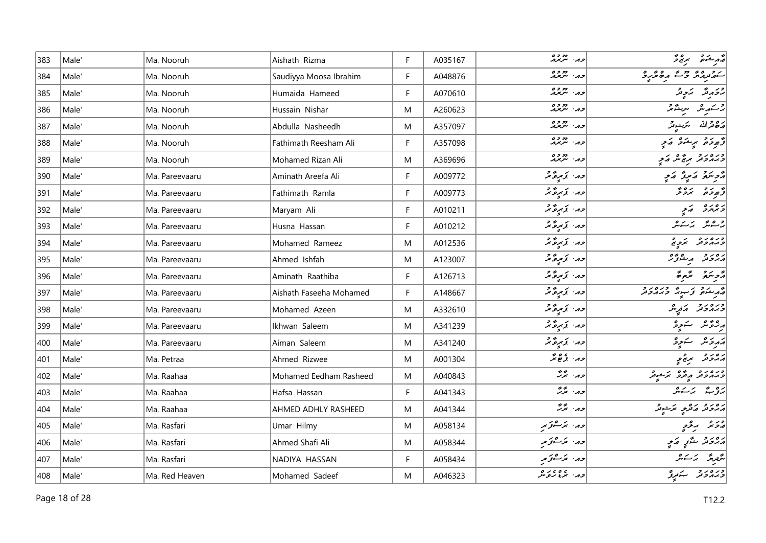| 383 | Male' | Ma. Nooruh     | Aishath Rizma           | F  | A035167 | כני ייטיבים<br>כני ייטיבוג   | و مشور مرج دمن<br>مربع المربع المربع |
|-----|-------|----------------|-------------------------|----|---------|------------------------------|--------------------------------------|
| 384 | Male' | Ma. Nooruh     | Saudiyya Moosa Ibrahim  | F. | A048876 | כו. ייציגו<br>כו. ייציגו     | - כפי המות בין המיתורי               |
| 385 | Male' | Ma. Nooruh     | Humaida Hameed          | F. | A070610 | כו. ייתיבום                  | جۇمەمد كەچە                          |
| 386 | Male' | Ma. Nooruh     | Hussain Nishar          | M  | A260623 | כתי ייקיבים<br>כתי ייקיבה    | 2سكىرىكى سرىقىمى                     |
| 387 | Male' | Ma. Nooruh     | Abdulla Nasheedh        | M  | A357097 | כומי ייקיבים<br>כומי ייקיבומ | مَدْهِ مِّرْ اللَّهُ سَرَشِيْتُرْ    |
| 388 | Male' | Ma. Nooruh     | Fathimath Reesham Ali   | F. | A357098 | כומי ייקיבים<br>כומי ייקיבומ | أؤودة برخاة أير                      |
| 389 | Male' | Ma. Nooruh     | Mohamed Rizan Ali       | M  | A369696 | כו. ייניבים<br>כו. ייניבוג   |                                      |
| 390 | Male' | Ma. Pareevaaru | Aminath Areefa Ali      | F  | A009772 | دە. ئېرىۋىمە                 | أأدوبتم أوسيرق أأو                   |
| 391 | Male' | Ma. Pareevaaru | Fathimath Ramla         | F  | A009773 | دە. ئېرىدىگە                 | و ده بره و                           |
| 392 | Male' | Ma. Pareevaaru | Maryam Ali              | F. | A010211 | دە ئېرۇنز                    | د ۱۳ په په کړې                       |
| 393 | Male' | Ma. Pareevaaru | Husna Hassan            | F. | A010212 | در که پروگر                  | جائىش برىكىش                         |
| 394 | Male' | Ma. Pareevaaru | Mohamed Rameez          | M  | A012536 | در که پروگر                  | وره رو گرونج                         |
| 395 | Male' | Ma. Pareevaaru | Ahmed Ishfah            | M  | A123007 | دە. بۇ بوقۇتمە               | أبره روم مرشوقر                      |
| 396 | Male' | Ma. Pareevaaru | Aminath Raathiba        | F  | A126713 | در که برگرگر                 | أزويته بزوة                          |
| 397 | Male' | Ma. Pareevaaru | Aishath Faseeha Mohamed | F  | A148667 | در ۰ برَمرِهٌ مَر            | أوالمستوفي والمستح والمرواني         |
| 398 | Male' | Ma. Pareevaaru | Mohamed Azeen           | M  | A332610 | دە. ئېرىۋىمە                 | درەر ئىزبىر                          |
| 399 | Male' | Ma. Pareevaaru | Ikhwan Saleem           | M  | A341239 | دە. ئېرىۋىمە                 | پرزۇش سەپرو                          |
| 400 | Male' | Ma. Pareevaaru | Aiman Saleem            | M  | A341240 | دە. ئېرغىز                   | גَ مِرْدَ مَدْ دِ وَ                 |
| 401 | Male' | Ma. Petraa     | Ahmed Rizwee            | M  | A001304 |                              | ره رو برخو                           |
| 402 | Male' | Ma. Raahaa     | Mohamed Eedham Rasheed  | M  | A040843 | ود برگ                       | وره رو روه پرشونر                    |
| 403 | Male' | Ma. Raahaa     | Hafsa Hassan            | F  | A041343 | ود گرگ                       | برە بە برىكىش                        |
| 404 | Male' | Ma. Raahaa     | AHMED ADHLY RASHEED     | M  | A041344 | ود گرگ                       | أرود والمالوج الكرجول                |
| 405 | Male' | Ma. Rasfari    | Umar Hilmy              | M  | A058134 | <i>دە. بۇ</i> سۇرىمە         | ور د برود په                         |
| 406 | Male' | Ma. Rasfari    | Ahmed Shafi Ali         | M  | A058344 | دە بەھۇبر                    | رەر دېم چې کام                       |
| 407 | Male' | Ma. Rasfari    | NADIYA HASSAN           | F. | A058434 | دە بەستۇبر                   | لترمريش الكاسكالس                    |
| 408 | Male' | Ma. Red Heaven | Mohamed Sadeef          | M  | A046323 | $9, 606$<br>$70, 806$        | ورەرو بەيرو                          |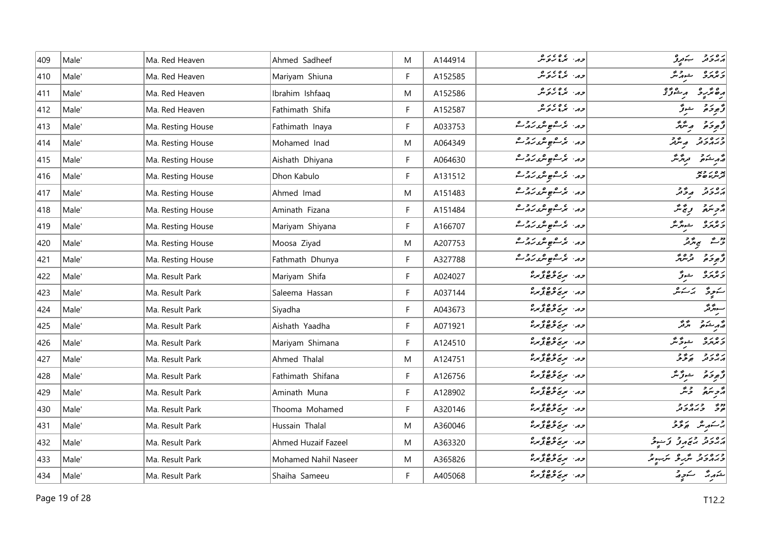| 409 | Male' | Ma. Red Heaven    | Ahmed Sadheef        | M  | A144914 | ے ہے دے رہ<br>حەد سى مەركى                               | أربر دير سنوري                            |
|-----|-------|-------------------|----------------------|----|---------|----------------------------------------------------------|-------------------------------------------|
| 410 | Male' | Ma. Red Heaven    | Mariyam Shiuna       | F  | A152585 | ە يەم دەرە<br><i>دە</i> بىر ئەركەنگر                     | رەرە شەرىخ                                |
| 411 | Male' | Ma. Red Heaven    | Ibrahim Ishfaaq      | M  | A152586 | ے ہے دے رہ<br>حەرب سرع سرحاس                             | دەنزىرە بەشۇر                             |
| 412 | Male' | Ma. Red Heaven    | Fathimath Shifa      | F  | A152587 | ەم بىرە ئەرەپەر<br><i>دە بىرە ئى</i> رىش                 | ۇ بو ئەم<br>حفوقر                         |
| 413 | Male' | Ma. Resting House | Fathimath Inaya      | F  | A033753 | در. بر عوض در ده                                         | وٌوِدَهُ مِسَمَّدٌ                        |
| 414 | Male' | Ma. Resting House | Mohamed Inad         | M  | A064349 | בו היישון מגירים                                         | ورەرو ھەد                                 |
| 415 | Male' | Ma. Resting House | Aishath Dhiyana      | F  | A064630 | ور. برگوهری در د                                         | وكهر مشكوكا المروكر مكر                   |
| 416 | Male' | Ma. Resting House | Dhon Kabulo          | F  | A131512 | ورسير شوه شرير و ه                                       | پر ہ ر د بر<br>تر سربا ہ م                |
| 417 | Male' | Ma. Resting House | Ahmed Imad           | M  | A151483 | ورستر شوه شرور م                                         | أرور ويحتر                                |
| 418 | Male' | Ma. Resting House | Aminath Fizana       | F  | A151484 | در. برگوهگری کرد ه                                       | تزجر ويحتر                                |
| 419 | Male' | Ma. Resting House | Mariyam Shiyana      | F. | A166707 | ورستر شوه شرور م                                         | ر ه ر ه<br><del>د</del> بربرگ<br>شەدگەنگر |
| 420 | Male' | Ma. Resting House | Moosa Ziyad          | M  | A207753 | ور. بر شوه شرد ده                                        |                                           |
| 421 | Male' | Ma. Resting House | Fathmath Dhunya      | F  | A327788 | בו היש שפי הירי                                          | توجدة وهيم                                |
| 422 | Male' | Ma. Result Park   | Mariyam Shifa        | F  | A024027 | دە. بر <sub>ى</sub> ۋەۋېرى <sub>م</sub>                  | ر ه ر ه<br><del>د</del> بربرگ<br>حشوقر    |
| 423 | Male' | Ma. Result Park   | Saleema Hassan       | F  | A037144 | בו. תשלפות בע                                            | برسەمىر<br>سەرچ                           |
| 424 | Male' | Ma. Result Park   | Siyadha              | F  | A043673 | در برنج ده وگریره                                        | سىدىگە                                    |
| 425 | Male' | Ma. Result Park   | Aishath Yaadha       | F  | A071921 | בו יישבפליט                                              | مەرىشىتى مەم                              |
| 426 | Male' | Ma. Result Park   | Mariyam Shimana      | F. | A124510 | حەر، سىيىم ئىگەنى ئىمرىكى<br>مەنبە سىيەنى ئىگەنى ئىمرىكى | رەرە ھەق                                  |
| 427 | Male' | Ma. Result Park   | Ahmed Thalal         | M  | A124751 | בו יי תוז בסיר תי                                        | رەرد رود<br>مەردىر بو <del>گ</del> ر      |
| 428 | Male' | Ma. Result Park   | Fathimath Shifana    | F  | A126756 | בו יי תוז בפל תי                                         | قرجوحرة ويتشرق يثر                        |
| 429 | Male' | Ma. Result Park   | Aminath Muna         | F  | A128902 | ورسير بموصوفه وم                                         | ړ د سره د څنگ                             |
| 430 | Male' | Ma. Result Park   | Thooma Mohamed       | F  | A320146 | در برخ ڈھ ژبرنا                                          | מי כנסני<br>קיב בג'ובע                    |
| 431 | Male' | Ma. Result Park   | Hussain Thalal       | M  | A360046 | בו תשלפות                                                | يز سەر شەھ بۇ ئۆچ                         |
| 432 | Male' | Ma. Result Park   | Ahmed Huzaif Fazeel  | M  | A363320 | בו יישבפליט                                              | رەدى رىمرۇ ئەيدۇ                          |
| 433 | Male' | Ma. Result Park   | Mohamed Nahil Naseer | M  | A365826 | בו יי תוז בסיף תי                                        | ورەرو شرک شب                              |
| 434 | Male' | Ma. Result Park   | Shaiha Sameeu        | F. | A405068 | בו יי תוז בסיף תי                                        | خكريد كسكورة                              |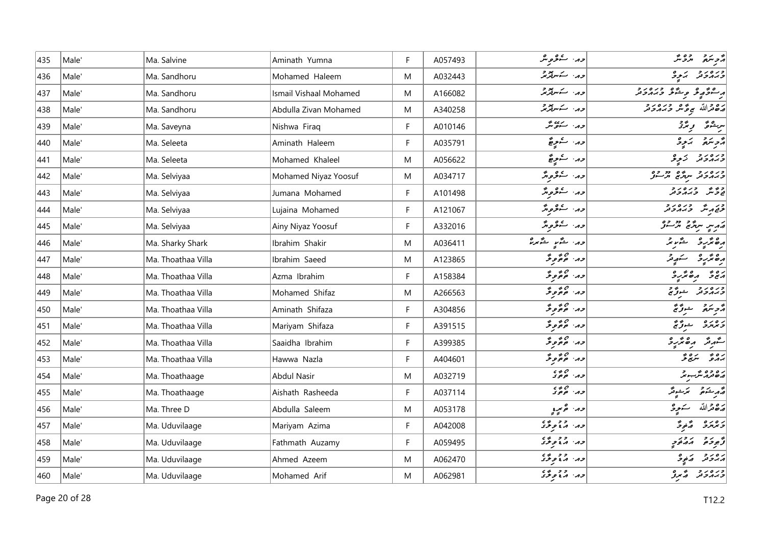| 435 | Male' | Ma. Salvine        | Aminath Yumna          | F         | A057493 | دە. سىۋەپىر                           | أزويتهم الرويتر                              |
|-----|-------|--------------------|------------------------|-----------|---------|---------------------------------------|----------------------------------------------|
| 436 | Male' | Ma. Sandhoru       | Mohamed Haleem         | M         | A032443 | دە. سەسەر                             | ورەرو پەرو                                   |
| 437 | Male' | Ma. Sandhoru       | Ismail Vishaal Mohamed | M         | A166082 | در. سکس پر د                          | ر عدد و شده دره در د                         |
| 438 | Male' | Ma. Sandhoru       | Abdulla Zivan Mohamed  | M         | A340258 | دە. سەسەر                             | رە دالله برخ درورد                           |
| 439 | Male' | Ma. Saveyna        | Nishwa Firaq           | F         | A010146 | وە سۇپىر                              | سرىشىر وپژۇ                                  |
| 440 | Male' | Ma. Seleeta        | Aminath Haleem         | F         | A035791 | ور. سکوچَ                             | ړٌ د سَرَهٌ کَ پَر دِ د                      |
| 441 | Male' | Ma. Seleeta        | Mohamed Khaleel        | M         | A056622 | در. سگویج                             | ورەرو زىرو                                   |
| 442 | Male' | Ma. Selviyaa       | Mohamed Niyaz Yoosuf   | ${\sf M}$ | A034717 | ور. ڪوورگ                             | כנסגב תוצם חבכם<br>כגובכת תוצם וקי-ת         |
| 443 | Male' | Ma. Selviyaa       | Jumana Mohamed         | F         | A101498 | حەربە سىۋە بۇ                         | و ده ده دره د د<br>ای شرکت د بر در در        |
| 444 | Male' | Ma. Selviyaa       | Lujaina Mohamed        | F         | A121067 | ور. سگوه دهگر                         | ور وره دور                                   |
| 445 | Male' | Ma. Selviyaa       | Ainy Niyaz Yoosuf      | F         | A332016 | در. سگوه پژ                           | ה'ת יית ייח"ז ברי כם<br>ה'ת יית ייח"ז ברי כם |
| 446 | Male' | Ma. Sharky Shark   | Ibrahim Shakir         | M         | A036411 | ور. ڪُي ڪُمرين                        |                                              |
| 447 | Male' | Ma. Thoathaa Villa | Ibrahim Saeed          | M         | A123865 | ور. هوءُ و دُ                         | وە ئۈرۈ<br>سکھرتر                            |
| 448 | Male' | Ma. Thoathaa Villa | Azma Ibrahim           | F         | A158384 | وړ· <sub>م</sub> وځونځ                |                                              |
| 449 | Male' | Ma. Thoathaa Villa | Mohamed Shifaz         | ${\sf M}$ | A266563 |                                       | ورەرو شوۋى                                   |
| 450 | Male' | Ma. Thoathaa Villa | Aminath Shifaza        | F         | A304856 | وربه مؤثرة                            | أأرمز المستوقي                               |
| 451 | Male' | Ma. Thoathaa Villa | Mariyam Shifaza        | F         | A391515 | حەم ئەھم بوڭر                         | رەرە ھۆق                                     |
| 452 | Male' | Ma. Thoathaa Villa | Saaidha Ibrahim        | F         | A399385 | رو. هوڅونځ                            | ە ھەمرىرى<br>مەھەمرىرى<br>السفهر قمر         |
| 453 | Male' | Ma. Thoathaa Villa | Hawwa Nazla            | F         | A404601 | ور. ءُءُوءٌ                           | برەپچ<br>سرچ پڅ                              |
| 454 | Male' | Ma. Thoathaage     | <b>Abdul Nasir</b>     | M         | A032719 | קת יקים<br>כתי קיפצ                   | رە دە ئەسىر                                  |
| 455 | Male' | Ma. Thoathaage     | Aishath Rasheeda       | F         | A037114 | קת יקישי<br><i>ב</i> ת יקי <i>פ</i> צ | أوار مشكاتها المتمر المستوفر                 |
| 456 | Male' | Ma. Three D        | Abdulla Saleem         | M         | A053178 | <br> حدا همیدی                        | 20% اللّه كرود                               |
| 457 | Male' | Ma. Uduvilaage     | Mariyam Azima          | F         | A042008 | در. دو وو                             | ر ه ر ه<br><del>ر</del> بربرگ<br>د گرځ گر    |
| 458 | Male' | Ma. Uduvilaage     | Fathmath Auzamy        | F         | A059495 | در ود وځ                              | أزودكم مصفح                                  |
| 459 | Male' | Ma. Uduvilaage     | Ahmed Azeem            | M         | A062470 | در دوروره<br>در مورود                 | رەرد كەنجى                                   |
| 460 | Male' | Ma. Uduvilaage     | Mohamed Arif           | ${\sf M}$ | A062981 | دړ٠ روو دي<br>در٠ روونون              | ورەر د ئەر                                   |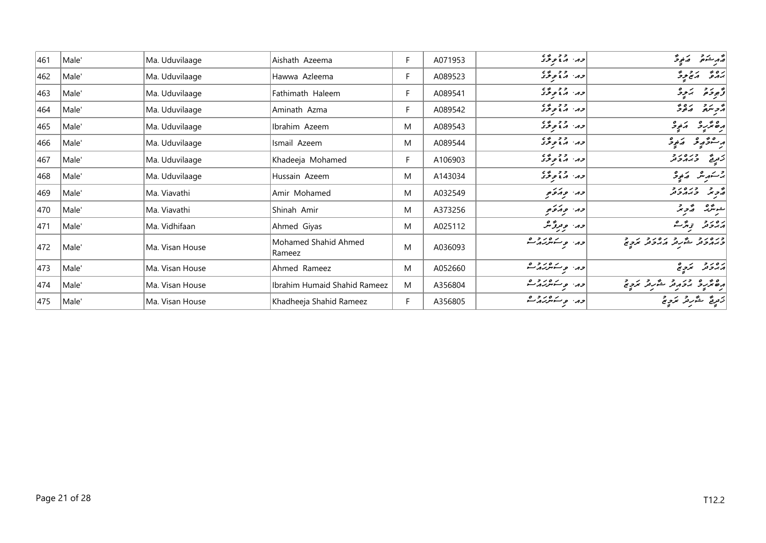| 461 | Male' | Ma. Uduvilaage  | Aishath Azeema                 | F. | A071953 | ود د و و و<br>در د د وگر      | أمام يشكا والمتحفي      |
|-----|-------|-----------------|--------------------------------|----|---------|-------------------------------|-------------------------|
| 462 | Male' | Ma. Uduvilaage  | Hawwa Azleema                  | F  | A089523 | و د د د د د د<br>ور ارو و د د | ره په سرچ د پخ          |
| 463 | Male' | Ma. Uduvilaage  | Fathimath Haleem               | F. | A089541 | ود د و و و<br>ود د وگون       | وَجوحه كِمَ مِرْحِد     |
| 464 | Male' | Ma. Uduvilaage  | Aminath Azma                   | F  | A089542 | وړ ده وي.<br>در د وگ          | أثر سرة المره و         |
| 465 | Male' | Ma. Uduvilaage  | Ibrahim Azeem                  | M  | A089543 | وړ ده وي.<br>در د وگ          | أرە ئەر ئەر ئەر         |
| 466 | Male' | Ma. Uduvilaage  | Ismail Azeem                   | M  | A089544 | ود د و و،<br>ود د وڅو         | بر شۇم ئۇ سەنبۇ ئ       |
| 467 | Male' | Ma. Uduvilaage  | Khadeeja Mohamed               | F. | A106903 | ود د و د و<br>ود د وڅو        | زَمْرِيحَ وَبَرُوونَزْ  |
| 468 | Male' | Ma. Uduvilaage  | Hussain Azeem                  | M  | A143034 | و د کار وي.<br>د د کارگانو    | پر سکه سر مرکز مرکز     |
| 469 | Male' | Ma. Viavathi    | Amir Mohamed                   | M  | A032549 | در ورکو                       | ه د دره در              |
| 470 | Male' | Ma. Viavathi    | Shinah Amir                    | M  | A373256 | در ورَوَّهِ                   | ئىنىدىگە<br>وزحرتنر     |
| 471 | Male' | Ma. Vidhifaan   | Ahmed Giyas                    | M  | A025112 |                               | دەرو تەرگ               |
| 472 | Male' | Ma. Visan House | Mohamed Shahid Ahmed<br>Rameez | M  | A036093 | حەر، ئەسكە ئەرەبى             | ورەرو شرىر رەرو برور    |
| 473 | Male' | Ma. Visan House | Ahmed Rameez                   | M  | A052660 | دە. ئەسەمەردە ھ               | د د د پروتم             |
| 474 | Male' | Ma. Visan House | Ibrahim Humaid Shahid Rameez   | M  | A356804 | حەر، ئەسكەردە ئە              | رە ئەر ئەزەر ئەر ئەر ئە |
| 475 | Male' | Ma. Visan House | Khadheeja Shahid Rameez        | F  | A356805 | وړ وسه کرده ک                 | تزمرة الشرير الزواج     |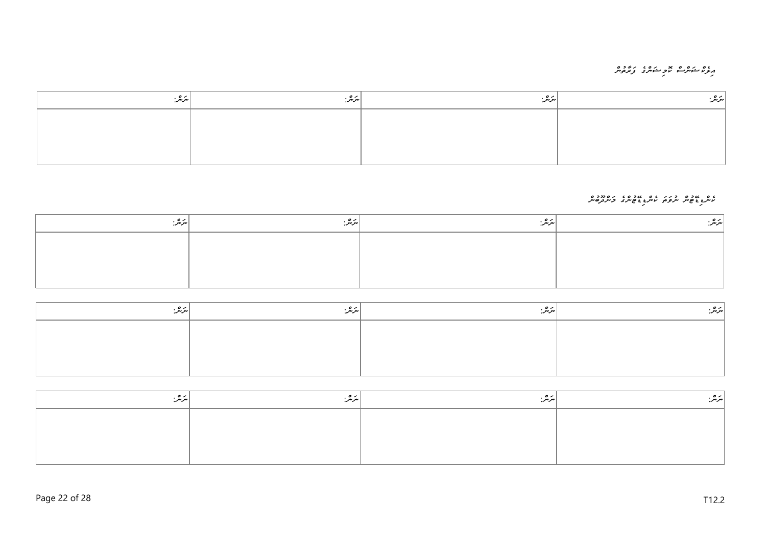## *w7qAn8m? sCw7mRo>u; wEw7mRw;sBo<*

| ' مرمر | 'يئرىثر: |
|--------|----------|
|        |          |
|        |          |
|        |          |

## *w7q9r@w7m> sCw7qHtFoFw7s; mAm=q7 w7qHtFoFw7s;*

| ىر تە | $\mathcal{O} \times$<br>$\sim$ | $\sim$<br>. . | لترنثر |
|-------|--------------------------------|---------------|--------|
|       |                                |               |        |
|       |                                |               |        |
|       |                                |               |        |

| انترنثر: | $^{\circ}$ | يبرهر | $^{\circ}$<br>سرسر |
|----------|------------|-------|--------------------|
|          |            |       |                    |
|          |            |       |                    |
|          |            |       |                    |

| ' ئىرتىر: | سر سر |  |
|-----------|-------|--|
|           |       |  |
|           |       |  |
|           |       |  |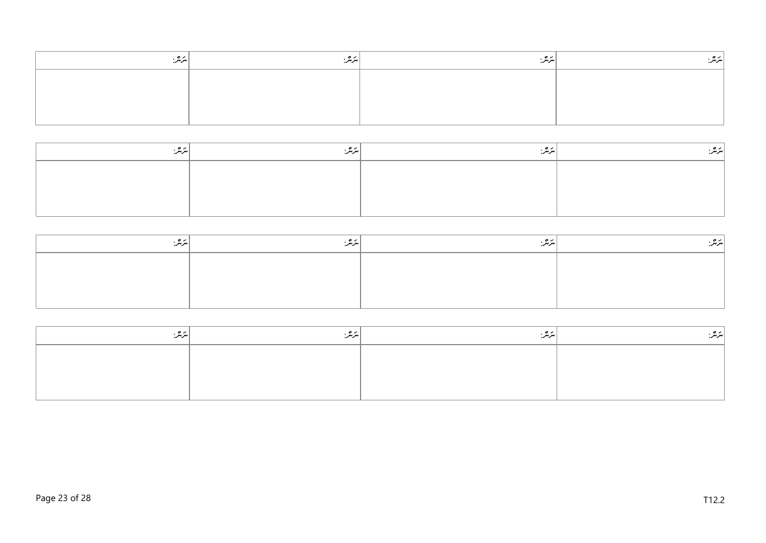| يزهر | $^{\circ}$ | ىئرىتر: |  |
|------|------------|---------|--|
|      |            |         |  |
|      |            |         |  |
|      |            |         |  |

| <sup>.</sup> سرسر. |  |
|--------------------|--|
|                    |  |
|                    |  |
|                    |  |

| ىر تە | $\sim$ | ا بر هر: | $^{\circ}$<br>' سرسر. |
|-------|--------|----------|-----------------------|
|       |        |          |                       |
|       |        |          |                       |
|       |        |          |                       |

| 。<br>مرس. | $\overline{\phantom{a}}$<br>مر مىر | يتريثر |
|-----------|------------------------------------|--------|
|           |                                    |        |
|           |                                    |        |
|           |                                    |        |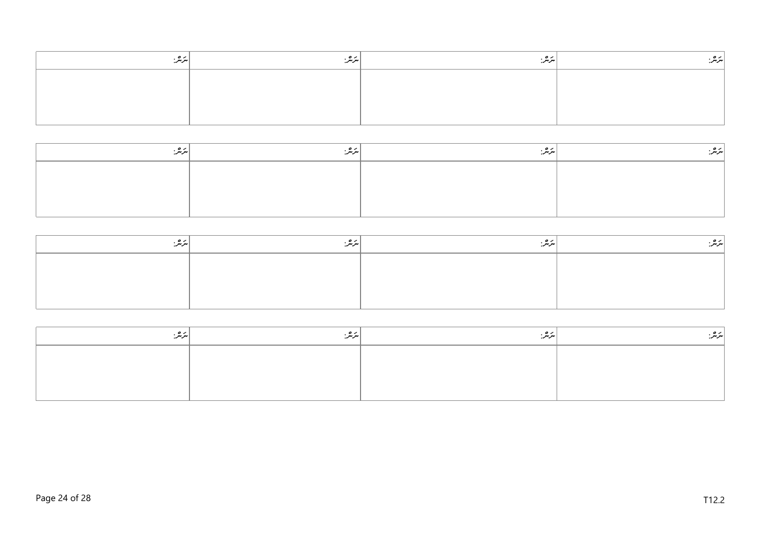| ير هو . | $\overline{\phantom{a}}$ | يرمر | اير هنه. |
|---------|--------------------------|------|----------|
|         |                          |      |          |
|         |                          |      |          |
|         |                          |      |          |

| ىبرىر. | $\sim$<br>ا سرسر . | يئرمثر | o . |
|--------|--------------------|--------|-----|
|        |                    |        |     |
|        |                    |        |     |
|        |                    |        |     |

| كترنثر: | 。 | 。<br>سرسر. | o <i>~</i> |
|---------|---|------------|------------|
|         |   |            |            |
|         |   |            |            |
|         |   |            |            |

|  | . ه |
|--|-----|
|  |     |
|  |     |
|  |     |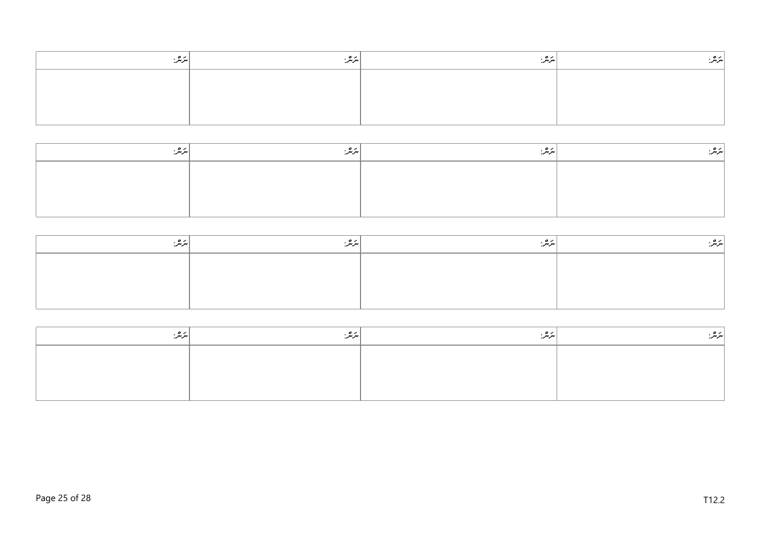| ير هو . | $\overline{\phantom{a}}$ | يرمر | اير هنه. |
|---------|--------------------------|------|----------|
|         |                          |      |          |
|         |                          |      |          |
|         |                          |      |          |

| ىر تىر: | $\circ$ $\sim$<br>" سرسر . | يبرحه | o . |
|---------|----------------------------|-------|-----|
|         |                            |       |     |
|         |                            |       |     |
|         |                            |       |     |

| الترنثر: | ' مرتكز: | الترنثر: | .,<br>سرسر. |
|----------|----------|----------|-------------|
|          |          |          |             |
|          |          |          |             |
|          |          |          |             |

|  | . ه |
|--|-----|
|  |     |
|  |     |
|  |     |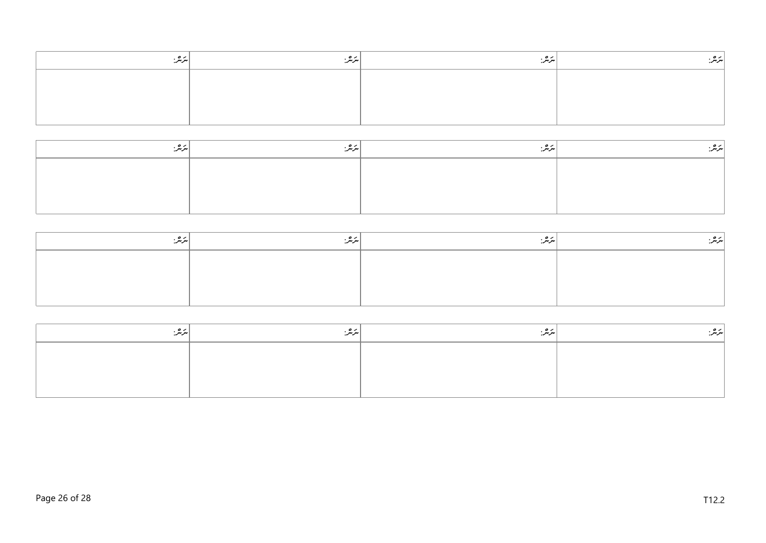| $\cdot$ | ο. | $\frac{\circ}{\cdot}$ | $\sim$<br>سرسر |
|---------|----|-----------------------|----------------|
|         |    |                       |                |
|         |    |                       |                |
|         |    |                       |                |

| يريثن | ' سرسر . |  |
|-------|----------|--|
|       |          |  |
|       |          |  |
|       |          |  |

| بر ه | 。 | $\overline{\phantom{0}}$<br>َ سومس. |  |
|------|---|-------------------------------------|--|
|      |   |                                     |  |
|      |   |                                     |  |
|      |   |                                     |  |

| 。<br>. س | ىرىىر |  |
|----------|-------|--|
|          |       |  |
|          |       |  |
|          |       |  |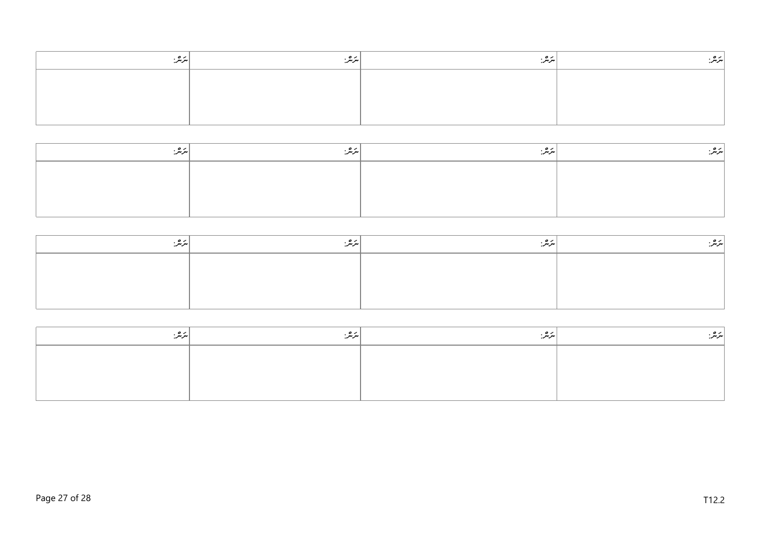| ير هو . | $\overline{\phantom{a}}$ | يرمر | لتزمثن |
|---------|--------------------------|------|--------|
|         |                          |      |        |
|         |                          |      |        |
|         |                          |      |        |

| ىبرىر. | $\sim$<br>ا سرسر . | يئرمثر | o . |
|--------|--------------------|--------|-----|
|        |                    |        |     |
|        |                    |        |     |
|        |                    |        |     |

| الترنثر: | ' مرتكز: | الترنثر: | .,<br>سرسر. |
|----------|----------|----------|-------------|
|          |          |          |             |
|          |          |          |             |
|          |          |          |             |

|  | . ه |
|--|-----|
|  |     |
|  |     |
|  |     |